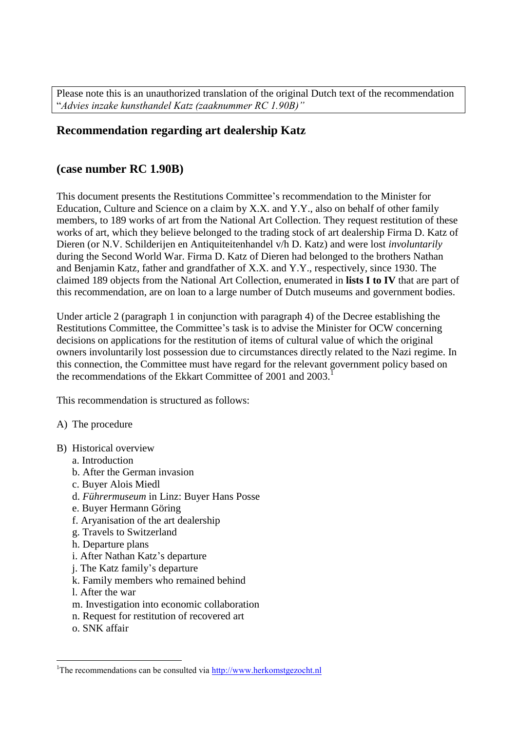Please note this is an unauthorized translation of the original Dutch text of the recommendation "*Advies inzake kunsthandel Katz (zaaknummer RC 1.90B)"*

## **Recommendation regarding art dealership Katz**

## **(case number RC 1.90B)**

This document presents the Restitutions Committee's recommendation to the Minister for Education, Culture and Science on a claim by X.X. and Y.Y., also on behalf of other family members, to 189 works of art from the National Art Collection. They request restitution of these works of art, which they believe belonged to the trading stock of art dealership Firma D. Katz of Dieren (or N.V. Schilderijen en Antiquiteitenhandel v/h D. Katz) and were lost *involuntarily* during the Second World War. Firma D. Katz of Dieren had belonged to the brothers Nathan and Benjamin Katz, father and grandfather of X.X. and Y.Y., respectively, since 1930. The claimed 189 objects from the National Art Collection, enumerated in **lists I to IV** that are part of this recommendation, are on loan to a large number of Dutch museums and government bodies.

Under article 2 (paragraph 1 in conjunction with paragraph 4) of the Decree establishing the Restitutions Committee, the Committee's task is to advise the Minister for OCW concerning decisions on applications for the restitution of items of cultural value of which the original owners involuntarily lost possession due to circumstances directly related to the Nazi regime. In this connection, the Committee must have regard for the relevant government policy based on the recommendations of the Ekkart Committee of 2001 and 2003.

This recommendation is structured as follows:

- A) The procedure
- B) Historical overview
	- a. Introduction
	- b. After the German invasion
	- c. Buyer Alois Miedl
	- d. *Führermuseum* in Linz: Buyer Hans Posse
	- e. Buyer Hermann Göring
	- f. Aryanisation of the art dealership
	- g. Travels to Switzerland
	- h. Departure plans
	- i. After Nathan Katz's departure
	- j. The Katz family's departure
	- k. Family members who remained behind
	- l. After the war
	- m. Investigation into economic collaboration
	- n. Request for restitution of recovered art
	- o. SNK affair

 $\overline{a}$ 

<sup>&</sup>lt;sup>1</sup>The recommendations can be consulted via  $\frac{http://www.herkomstgezocht.nl}{http://www.herkomstgezocht.nl}$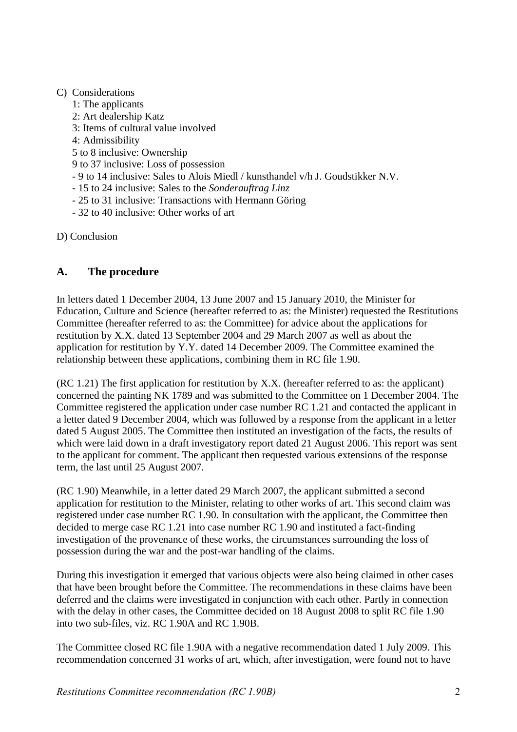## C) Considerations

- 1: The applicants
- 2: Art dealership Katz
- 3: Items of cultural value involved
- 4: Admissibility
- 5 to 8 inclusive: Ownership
- 9 to 37 inclusive: Loss of possession
- 9 to 14 inclusive: Sales to Alois Miedl / kunsthandel v/h J. Goudstikker N.V.
- 15 to 24 inclusive: Sales to the *Sonderauftrag Linz*
- 25 to 31 inclusive: Transactions with Hermann Göring
- 32 to 40 inclusive: Other works of art

D) Conclusion

# **A. The procedure**

In letters dated 1 December 2004, 13 June 2007 and 15 January 2010, the Minister for Education, Culture and Science (hereafter referred to as: the Minister) requested the Restitutions Committee (hereafter referred to as: the Committee) for advice about the applications for restitution by X.X. dated 13 September 2004 and 29 March 2007 as well as about the application for restitution by Y.Y. dated 14 December 2009. The Committee examined the relationship between these applications, combining them in RC file 1.90.

(RC 1.21) The first application for restitution by X.X. (hereafter referred to as: the applicant) concerned the painting NK 1789 and was submitted to the Committee on 1 December 2004. The Committee registered the application under case number RC 1.21 and contacted the applicant in a letter dated 9 December 2004, which was followed by a response from the applicant in a letter dated 5 August 2005. The Committee then instituted an investigation of the facts, the results of which were laid down in a draft investigatory report dated 21 August 2006. This report was sent to the applicant for comment. The applicant then requested various extensions of the response term, the last until 25 August 2007.

(RC 1.90) Meanwhile, in a letter dated 29 March 2007, the applicant submitted a second application for restitution to the Minister, relating to other works of art. This second claim was registered under case number RC 1.90. In consultation with the applicant, the Committee then decided to merge case RC 1.21 into case number RC 1.90 and instituted a fact-finding investigation of the provenance of these works, the circumstances surrounding the loss of possession during the war and the post-war handling of the claims.

During this investigation it emerged that various objects were also being claimed in other cases that have been brought before the Committee. The recommendations in these claims have been deferred and the claims were investigated in conjunction with each other. Partly in connection with the delay in other cases, the Committee decided on 18 August 2008 to split RC file 1.90 into two sub-files, viz. RC 1.90A and RC 1.90B.

The Committee closed RC file 1.90A with a negative recommendation dated 1 July 2009. This recommendation concerned 31 works of art, which, after investigation, were found not to have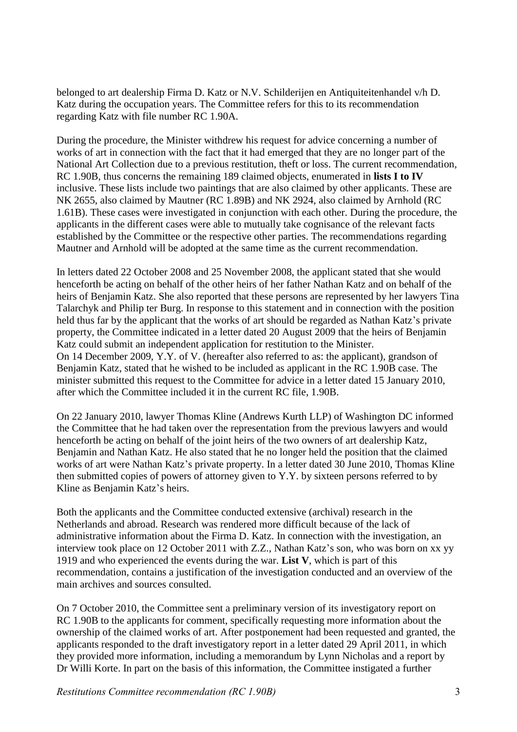belonged to art dealership Firma D. Katz or N.V. Schilderijen en Antiquiteitenhandel v/h D. Katz during the occupation years. The Committee refers for this to its recommendation regarding Katz with file number RC 1.90A.

During the procedure, the Minister withdrew his request for advice concerning a number of works of art in connection with the fact that it had emerged that they are no longer part of the National Art Collection due to a previous restitution, theft or loss. The current recommendation, RC 1.90B, thus concerns the remaining 189 claimed objects, enumerated in **lists I to IV** inclusive. These lists include two paintings that are also claimed by other applicants. These are NK 2655, also claimed by Mautner (RC 1.89B) and NK 2924, also claimed by Arnhold (RC 1.61B). These cases were investigated in conjunction with each other. During the procedure, the applicants in the different cases were able to mutually take cognisance of the relevant facts established by the Committee or the respective other parties. The recommendations regarding Mautner and Arnhold will be adopted at the same time as the current recommendation.

In letters dated 22 October 2008 and 25 November 2008, the applicant stated that she would henceforth be acting on behalf of the other heirs of her father Nathan Katz and on behalf of the heirs of Benjamin Katz. She also reported that these persons are represented by her lawyers Tina Talarchyk and Philip ter Burg. In response to this statement and in connection with the position held thus far by the applicant that the works of art should be regarded as Nathan Katz's private property, the Committee indicated in a letter dated 20 August 2009 that the heirs of Benjamin Katz could submit an independent application for restitution to the Minister. On 14 December 2009, Y.Y. of V. (hereafter also referred to as: the applicant), grandson of Benjamin Katz, stated that he wished to be included as applicant in the RC 1.90B case. The minister submitted this request to the Committee for advice in a letter dated 15 January 2010, after which the Committee included it in the current RC file, 1.90B.

On 22 January 2010, lawyer Thomas Kline (Andrews Kurth LLP) of Washington DC informed the Committee that he had taken over the representation from the previous lawyers and would henceforth be acting on behalf of the joint heirs of the two owners of art dealership Katz, Benjamin and Nathan Katz. He also stated that he no longer held the position that the claimed works of art were Nathan Katz's private property. In a letter dated 30 June 2010, Thomas Kline then submitted copies of powers of attorney given to Y.Y. by sixteen persons referred to by Kline as Benjamin Katz's heirs.

Both the applicants and the Committee conducted extensive (archival) research in the Netherlands and abroad. Research was rendered more difficult because of the lack of administrative information about the Firma D. Katz. In connection with the investigation, an interview took place on 12 October 2011 with Z.Z., Nathan Katz's son, who was born on xx yy 1919 and who experienced the events during the war. **List V**, which is part of this recommendation, contains a justification of the investigation conducted and an overview of the main archives and sources consulted.

On 7 October 2010, the Committee sent a preliminary version of its investigatory report on RC 1.90B to the applicants for comment, specifically requesting more information about the ownership of the claimed works of art. After postponement had been requested and granted, the applicants responded to the draft investigatory report in a letter dated 29 April 2011, in which they provided more information, including a memorandum by Lynn Nicholas and a report by Dr Willi Korte. In part on the basis of this information, the Committee instigated a further

*Restitutions Committee recommendation (RC 1.90B)* 3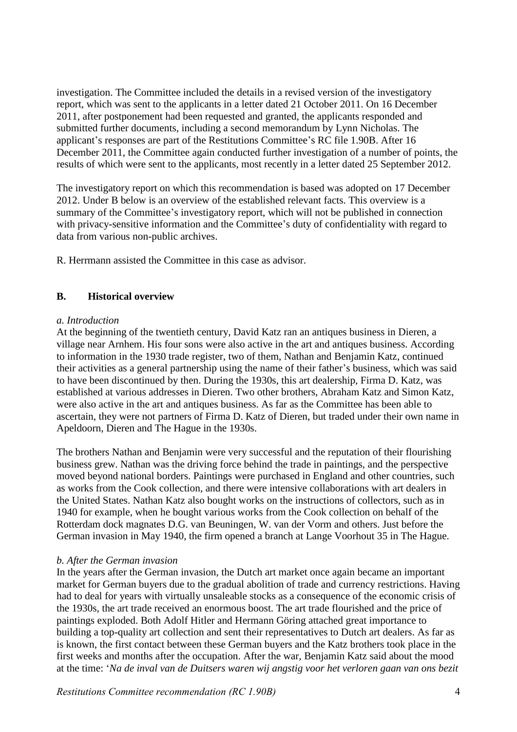investigation. The Committee included the details in a revised version of the investigatory report, which was sent to the applicants in a letter dated 21 October 2011. On 16 December 2011, after postponement had been requested and granted, the applicants responded and submitted further documents, including a second memorandum by Lynn Nicholas. The applicant's responses are part of the Restitutions Committee's RC file 1.90B. After 16 December 2011, the Committee again conducted further investigation of a number of points, the results of which were sent to the applicants, most recently in a letter dated 25 September 2012.

The investigatory report on which this recommendation is based was adopted on 17 December 2012. Under B below is an overview of the established relevant facts. This overview is a summary of the Committee's investigatory report, which will not be published in connection with privacy-sensitive information and the Committee's duty of confidentiality with regard to data from various non-public archives.

R. Herrmann assisted the Committee in this case as advisor.

## **B. Historical overview**

## *a. Introduction*

At the beginning of the twentieth century, David Katz ran an antiques business in Dieren, a village near Arnhem. His four sons were also active in the art and antiques business. According to information in the 1930 trade register, two of them, Nathan and Benjamin Katz, continued their activities as a general partnership using the name of their father's business, which was said to have been discontinued by then. During the 1930s, this art dealership, Firma D. Katz, was established at various addresses in Dieren. Two other brothers, Abraham Katz and Simon Katz, were also active in the art and antiques business. As far as the Committee has been able to ascertain, they were not partners of Firma D. Katz of Dieren, but traded under their own name in Apeldoorn, Dieren and The Hague in the 1930s.

The brothers Nathan and Benjamin were very successful and the reputation of their flourishing business grew. Nathan was the driving force behind the trade in paintings, and the perspective moved beyond national borders. Paintings were purchased in England and other countries, such as works from the Cook collection, and there were intensive collaborations with art dealers in the United States. Nathan Katz also bought works on the instructions of collectors, such as in 1940 for example, when he bought various works from the Cook collection on behalf of the Rotterdam dock magnates D.G. van Beuningen, W. van der Vorm and others. Just before the German invasion in May 1940, the firm opened a branch at Lange Voorhout 35 in The Hague.

### *b. After the German invasion*

In the years after the German invasion, the Dutch art market once again became an important market for German buyers due to the gradual abolition of trade and currency restrictions. Having had to deal for years with virtually unsaleable stocks as a consequence of the economic crisis of the 1930s, the art trade received an enormous boost. The art trade flourished and the price of paintings exploded. Both Adolf Hitler and Hermann Göring attached great importance to building a top-quality art collection and sent their representatives to Dutch art dealers. As far as is known, the first contact between these German buyers and the Katz brothers took place in the first weeks and months after the occupation. After the war, Benjamin Katz said about the mood at the time: '*Na de inval van de Duitsers waren wij angstig voor het verloren gaan van ons bezit*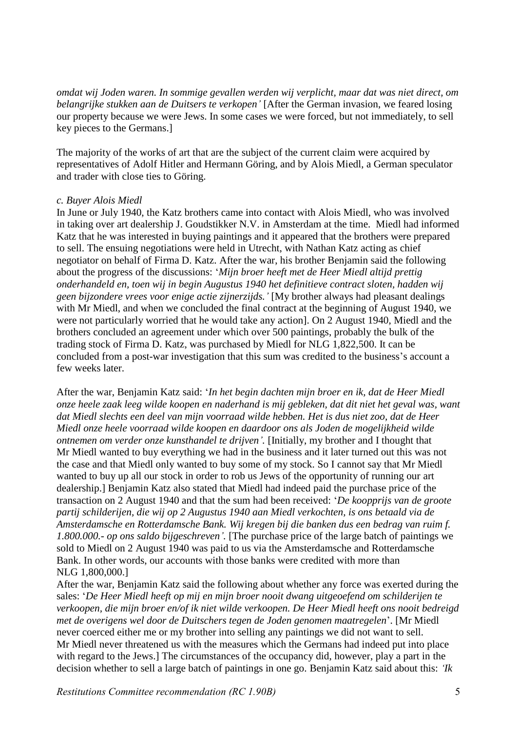*omdat wij Joden waren. In sommige gevallen werden wij verplicht, maar dat was niet direct, om belangrijke stukken aan de Duitsers te verkopen'* [After the German invasion, we feared losing our property because we were Jews. In some cases we were forced, but not immediately, to sell key pieces to the Germans.]

The majority of the works of art that are the subject of the current claim were acquired by representatives of Adolf Hitler and Hermann Göring, and by Alois Miedl, a German speculator and trader with close ties to Göring.

### *c. Buyer Alois Miedl*

In June or July 1940, the Katz brothers came into contact with Alois Miedl, who was involved in taking over art dealership J. Goudstikker N.V. in Amsterdam at the time. Miedl had informed Katz that he was interested in buying paintings and it appeared that the brothers were prepared to sell. The ensuing negotiations were held in Utrecht, with Nathan Katz acting as chief negotiator on behalf of Firma D. Katz. After the war, his brother Benjamin said the following about the progress of the discussions: '*Mijn broer heeft met de Heer Miedl altijd prettig onderhandeld en, toen wij in begin Augustus 1940 het definitieve contract sloten, hadden wij geen bijzondere vrees voor enige actie zijnerzijds.'* [My brother always had pleasant dealings with Mr Miedl, and when we concluded the final contract at the beginning of August 1940, we were not particularly worried that he would take any action]. On 2 August 1940, Miedl and the brothers concluded an agreement under which over 500 paintings, probably the bulk of the trading stock of Firma D. Katz, was purchased by Miedl for NLG 1,822,500. It can be concluded from a post-war investigation that this sum was credited to the business's account a few weeks later.

After the war, Benjamin Katz said: '*In het begin dachten mijn broer en ik, dat de Heer Miedl onze heele zaak leeg wilde koopen en naderhand is mij gebleken, dat dit niet het geval was, want dat Miedl slechts een deel van mijn voorraad wilde hebben. Het is dus niet zoo, dat de Heer Miedl onze heele voorraad wilde koopen en daardoor ons als Joden de mogelijkheid wilde ontnemen om verder onze kunsthandel te drijven'*. [Initially, my brother and I thought that Mr Miedl wanted to buy everything we had in the business and it later turned out this was not the case and that Miedl only wanted to buy some of my stock. So I cannot say that Mr Miedl wanted to buy up all our stock in order to rob us Jews of the opportunity of running our art dealership.] Benjamin Katz also stated that Miedl had indeed paid the purchase price of the transaction on 2 August 1940 and that the sum had been received: '*De koopprijs van de groote partij schilderijen, die wij op 2 Augustus 1940 aan Miedl verkochten, is ons betaald via de Amsterdamsche en Rotterdamsche Bank. Wij kregen bij die banken dus een bedrag van ruim f. 1.800.000.- op ons saldo bijgeschreven'.* [The purchase price of the large batch of paintings we sold to Miedl on 2 August 1940 was paid to us via the Amsterdamsche and Rotterdamsche Bank. In other words, our accounts with those banks were credited with more than NLG 1,800,000.]

After the war, Benjamin Katz said the following about whether any force was exerted during the sales: '*De Heer Miedl heeft op mij en mijn broer nooit dwang uitgeoefend om schilderijen te verkoopen, die mijn broer en/of ik niet wilde verkoopen. De Heer Miedl heeft ons nooit bedreigd met de overigens wel door de Duitschers tegen de Joden genomen maatregelen*'. [Mr Miedl never coerced either me or my brother into selling any paintings we did not want to sell. Mr Miedl never threatened us with the measures which the Germans had indeed put into place with regard to the Jews.] The circumstances of the occupancy did, however, play a part in the decision whether to sell a large batch of paintings in one go. Benjamin Katz said about this: *'Ik* 

*Restitutions Committee recommendation (RC 1.90B)* 5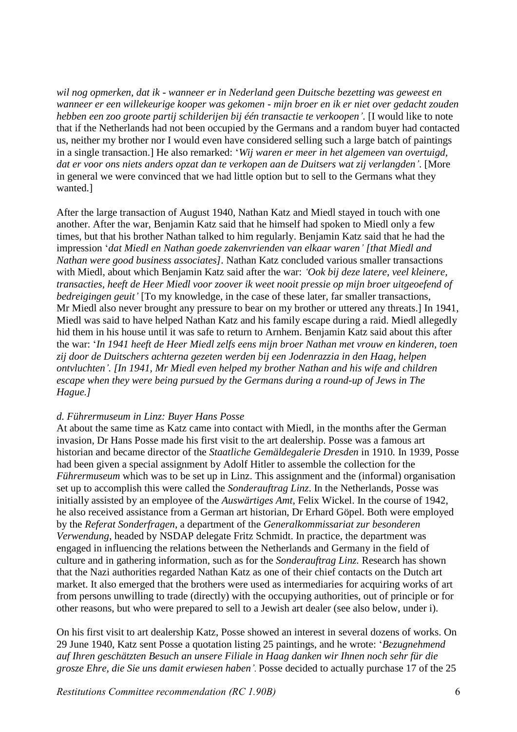*wil nog opmerken, dat ik - wanneer er in Nederland geen Duitsche bezetting was geweest en wanneer er een willekeurige kooper was gekomen - mijn broer en ik er niet over gedacht zouden hebben een zoo groote partij schilderijen bij één transactie te verkoopen'*. [I would like to note that if the Netherlands had not been occupied by the Germans and a random buyer had contacted us, neither my brother nor I would even have considered selling such a large batch of paintings in a single transaction.] He also remarked: '*Wij waren er meer in het algemeen van overtuigd, dat er voor ons niets anders opzat dan te verkopen aan de Duitsers wat zij verlangden'*. [More in general we were convinced that we had little option but to sell to the Germans what they wanted.]

After the large transaction of August 1940, Nathan Katz and Miedl stayed in touch with one another. After the war, Benjamin Katz said that he himself had spoken to Miedl only a few times, but that his brother Nathan talked to him regularly. Benjamin Katz said that he had the impression '*dat Miedl en Nathan goede zakenvrienden van elkaar waren' [that Miedl and Nathan were good business associates].* Nathan Katz concluded various smaller transactions with Miedl, about which Benjamin Katz said after the war: *'Ook bij deze latere, veel kleinere, transacties, heeft de Heer Miedl voor zoover ik weet nooit pressie op mijn broer uitgeoefend of bedreigingen geuit'* [To my knowledge, in the case of these later, far smaller transactions, Mr Miedl also never brought any pressure to bear on my brother or uttered any threats.] In 1941, Miedl was said to have helped Nathan Katz and his family escape during a raid. Miedl allegedly hid them in his house until it was safe to return to Arnhem. Benjamin Katz said about this after the war: '*In 1941 heeft de Heer Miedl zelfs eens mijn broer Nathan met vrouw en kinderen, toen zij door de Duitschers achterna gezeten werden bij een Jodenrazzia in den Haag, helpen ontvluchten'. [In 1941, Mr Miedl even helped my brother Nathan and his wife and children escape when they were being pursued by the Germans during a round-up of Jews in The Hague.]* 

### *d. Führermuseum in Linz: Buyer Hans Posse*

At about the same time as Katz came into contact with Miedl, in the months after the German invasion, Dr Hans Posse made his first visit to the art dealership. Posse was a famous art historian and became director of the *Staatliche Gemäldegalerie Dresden* in 1910*.* In 1939, Posse had been given a special assignment by Adolf Hitler to assemble the collection for the *Führermuseum* which was to be set up in Linz. This assignment and the (informal) organisation set up to accomplish this were called the *Sonderauftrag Linz*. In the Netherlands, Posse was initially assisted by an employee of the *Auswärtiges Amt*, Felix Wickel. In the course of 1942, he also received assistance from a German art historian, Dr Erhard Göpel. Both were employed by the *Referat Sonderfragen*, a department of the *Generalkommissariat zur besonderen Verwendung*, headed by NSDAP delegate Fritz Schmidt. In practice, the department was engaged in influencing the relations between the Netherlands and Germany in the field of culture and in gathering information, such as for the *Sonderauftrag Linz.* Research has shown that the Nazi authorities regarded Nathan Katz as one of their chief contacts on the Dutch art market. It also emerged that the brothers were used as intermediaries for acquiring works of art from persons unwilling to trade (directly) with the occupying authorities, out of principle or for other reasons, but who were prepared to sell to a Jewish art dealer (see also below, under i).

On his first visit to art dealership Katz, Posse showed an interest in several dozens of works. On 29 June 1940, Katz sent Posse a quotation listing 25 paintings, and he wrote: '*Bezugnehmend auf Ihren geschätzten Besuch an unsere Filiale in Haag danken wir Ihnen noch sehr für die grosze Ehre, die Sie uns damit erwiesen haben'.* Posse decided to actually purchase 17 of the 25

*Restitutions Committee recommendation (RC 1.90B)* 6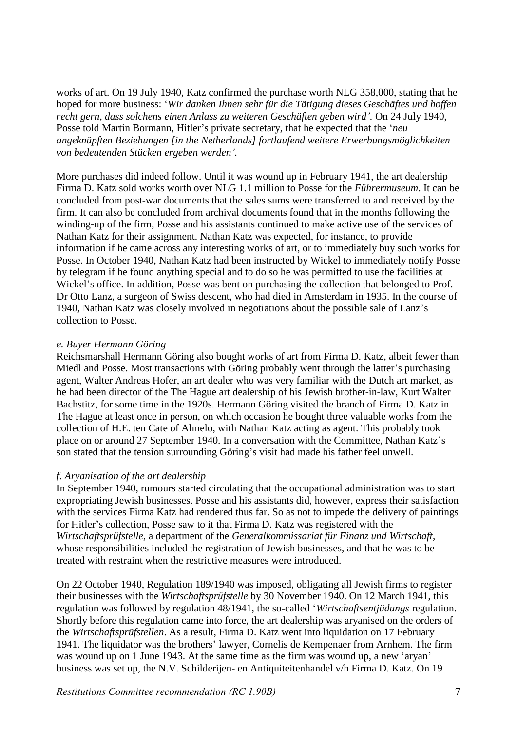works of art. On 19 July 1940, Katz confirmed the purchase worth NLG 358,000, stating that he hoped for more business: '*Wir danken Ihnen sehr für die Tätigung dieses Geschäftes und hoffen recht gern, dass solchens einen Anlass zu weiteren Geschäften geben wird'.* On 24 July 1940, Posse told Martin Bormann, Hitler's private secretary, that he expected that the '*neu angeknüpften Beziehungen [in the Netherlands] fortlaufend weitere Erwerbungsmöglichkeiten von bedeutenden Stücken ergeben werden'.*

More purchases did indeed follow. Until it was wound up in February 1941, the art dealership Firma D. Katz sold works worth over NLG 1.1 million to Posse for the *Führermuseum*. It can be concluded from post-war documents that the sales sums were transferred to and received by the firm. It can also be concluded from archival documents found that in the months following the winding-up of the firm, Posse and his assistants continued to make active use of the services of Nathan Katz for their assignment. Nathan Katz was expected, for instance, to provide information if he came across any interesting works of art, or to immediately buy such works for Posse. In October 1940, Nathan Katz had been instructed by Wickel to immediately notify Posse by telegram if he found anything special and to do so he was permitted to use the facilities at Wickel's office. In addition, Posse was bent on purchasing the collection that belonged to Prof. Dr Otto Lanz, a surgeon of Swiss descent, who had died in Amsterdam in 1935. In the course of 1940, Nathan Katz was closely involved in negotiations about the possible sale of Lanz's collection to Posse.

### *e. Buyer Hermann Göring*

Reichsmarshall Hermann Göring also bought works of art from Firma D. Katz, albeit fewer than Miedl and Posse. Most transactions with Göring probably went through the latter's purchasing agent, Walter Andreas Hofer, an art dealer who was very familiar with the Dutch art market, as he had been director of the The Hague art dealership of his Jewish brother-in-law, Kurt Walter Bachstitz, for some time in the 1920s. Hermann Göring visited the branch of Firma D. Katz in The Hague at least once in person, on which occasion he bought three valuable works from the collection of H.E. ten Cate of Almelo, with Nathan Katz acting as agent. This probably took place on or around 27 September 1940. In a conversation with the Committee, Nathan Katz's son stated that the tension surrounding Göring's visit had made his father feel unwell.

### *f. Aryanisation of the art dealership*

In September 1940, rumours started circulating that the occupational administration was to start expropriating Jewish businesses. Posse and his assistants did, however, express their satisfaction with the services Firma Katz had rendered thus far. So as not to impede the delivery of paintings for Hitler's collection, Posse saw to it that Firma D. Katz was registered with the *Wirtschaftsprüfstelle,* a department of the *Generalkommissariat für Finanz und Wirtschaft*, whose responsibilities included the registration of Jewish businesses, and that he was to be treated with restraint when the restrictive measures were introduced.

On 22 October 1940, Regulation 189/1940 was imposed, obligating all Jewish firms to register their businesses with the *Wirtschaftsprüfstelle* by 30 November 1940. On 12 March 1941, this regulation was followed by regulation 48/1941, the so-called '*Wirtschaftsentjüdungs* regulation. Shortly before this regulation came into force, the art dealership was aryanised on the orders of the *Wirtschaftsprüfstellen*. As a result, Firma D. Katz went into liquidation on 17 February 1941. The liquidator was the brothers' lawyer, Cornelis de Kempenaer from Arnhem. The firm was wound up on 1 June 1943. At the same time as the firm was wound up, a new 'aryan' business was set up, the N.V. Schilderijen- en Antiquiteitenhandel v/h Firma D. Katz. On 19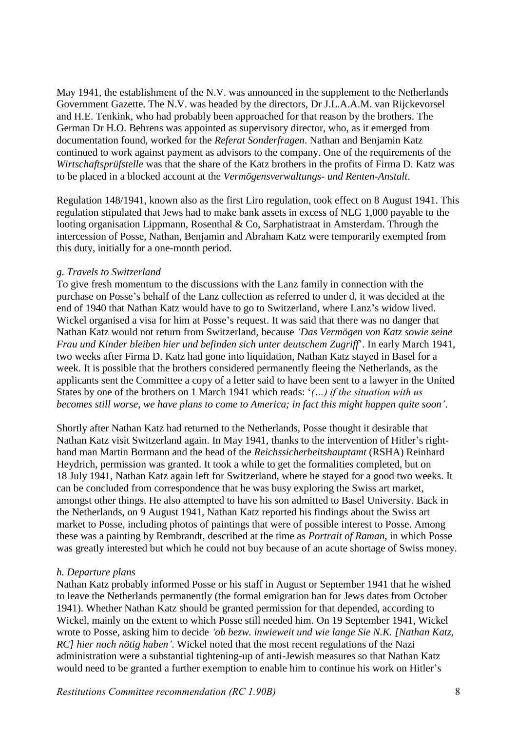May 1941, the establishment of the N.V. was announced in the supplement to the Netherlands Government Gazette. The N.V. was headed by the directors, Dr J.L.A.A.M. van Rijckevorsel and H.E. Tenkink, who had probably been approached for that reason by the brothers. The German Dr H.O. Behrens was appointed as supervisory director, who, as it emerged from documentation found, worked for the *Referat Sonderfragen*. Nathan and Benjamin Katz continued to work against payment as advisors to the company. One of the requirements of the *Wirtschaftsprüfstelle* was that the share of the Katz brothers in the profits of Firma D. Katz was to be placed in a blocked account at the *Vermögensverwaltungs- und Renten-Anstalt*.

Regulation 148/1941, known also as the first Liro regulation, took effect on 8 August 1941. This regulation stipulated that Jews had to make bank assets in excess of NLG 1,000 payable to the looting organisation Lippmann, Rosenthal & Co, Sarphatistraat in Amsterdam. Through the intercession of Posse, Nathan, Benjamin and Abraham Katz were temporarily exempted from this duty, initially for a one-month period.

## *g. Travels to Switzerland*

To give fresh momentum to the discussions with the Lanz family in connection with the purchase on Posse's behalf of the Lanz collection as referred to under d, it was decided at the end of 1940 that Nathan Katz would have to go to Switzerland, where Lanz's widow lived. Wickel organised a visa for him at Posse's request. It was said that there was no danger that Nathan Katz would not return from Switzerland, because *'Das Vermögen von Katz sowie seine Frau und Kinder bleiben hier und befinden sich unter deutschem Zugriff*'. In early March 1941, two weeks after Firma D. Katz had gone into liquidation, Nathan Katz stayed in Basel for a week. It is possible that the brothers considered permanently fleeing the Netherlands, as the applicants sent the Committee a copy of a letter said to have been sent to a lawyer in the United States by one of the brothers on 1 March 1941 which reads: '*(…) if the situation with us becomes still worse, we have plans to come to America; in fact this might happen quite soon'*.

Shortly after Nathan Katz had returned to the Netherlands, Posse thought it desirable that Nathan Katz visit Switzerland again. In May 1941, thanks to the intervention of Hitler's righthand man Martin Bormann and the head of the *Reichssicherheitshauptamt* (RSHA) Reinhard Heydrich, permission was granted. It took a while to get the formalities completed, but on 18 July 1941, Nathan Katz again left for Switzerland, where he stayed for a good two weeks. It can be concluded from correspondence that he was busy exploring the Swiss art market, amongst other things. He also attempted to have his son admitted to Basel University. Back in the Netherlands, on 9 August 1941, Nathan Katz reported his findings about the Swiss art market to Posse, including photos of paintings that were of possible interest to Posse. Among these was a painting by Rembrandt, described at the time as *Portrait of Raman*, in which Posse was greatly interested but which he could not buy because of an acute shortage of Swiss money.

## *h. Departure plans*

Nathan Katz probably informed Posse or his staff in August or September 1941 that he wished to leave the Netherlands permanently (the formal emigration ban for Jews dates from October 1941). Whether Nathan Katz should be granted permission for that depended, according to Wickel, mainly on the extent to which Posse still needed him. On 19 September 1941, Wickel wrote to Posse, asking him to decide *'ob bezw. inwieweit und wie lange Sie N.K. [Nathan Katz, RC] hier noch nötig haben'*. Wickel noted that the most recent regulations of the Nazi administration were a substantial tightening-up of anti-Jewish measures so that Nathan Katz would need to be granted a further exemption to enable him to continue his work on Hitler's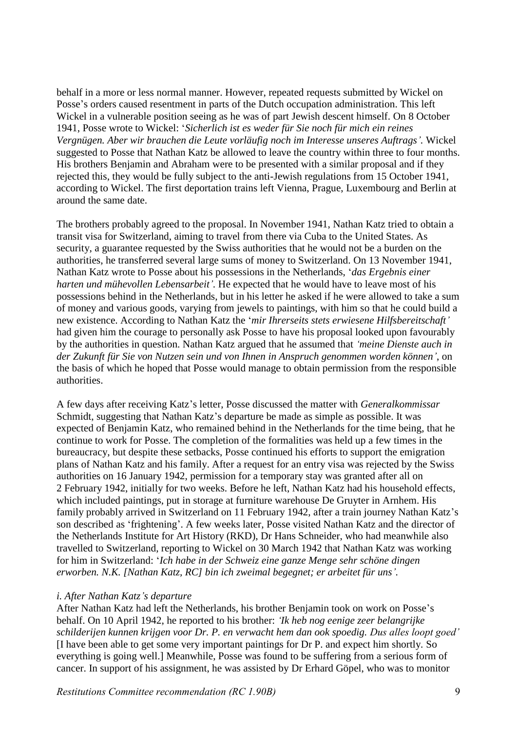behalf in a more or less normal manner. However, repeated requests submitted by Wickel on Posse's orders caused resentment in parts of the Dutch occupation administration. This left Wickel in a vulnerable position seeing as he was of part Jewish descent himself. On 8 October 1941, Posse wrote to Wickel: '*Sicherlich ist es weder für Sie noch für mich ein reines Vergnügen. Aber wir brauchen die Leute vorläufig noch im Interesse unseres Auftrags'.* Wickel suggested to Posse that Nathan Katz be allowed to leave the country within three to four months. His brothers Benjamin and Abraham were to be presented with a similar proposal and if they rejected this, they would be fully subject to the anti-Jewish regulations from 15 October 1941, according to Wickel. The first deportation trains left Vienna, Prague, Luxembourg and Berlin at around the same date.

The brothers probably agreed to the proposal. In November 1941, Nathan Katz tried to obtain a transit visa for Switzerland, aiming to travel from there via Cuba to the United States. As security, a guarantee requested by the Swiss authorities that he would not be a burden on the authorities, he transferred several large sums of money to Switzerland. On 13 November 1941, Nathan Katz wrote to Posse about his possessions in the Netherlands, '*das Ergebnis einer harten und mühevollen Lebensarbeit'.* He expected that he would have to leave most of his possessions behind in the Netherlands, but in his letter he asked if he were allowed to take a sum of money and various goods, varying from jewels to paintings, with him so that he could build a new existence. According to Nathan Katz the '*mir Ihrerseits stets erwiesene Hilfsbereitschaft'* had given him the courage to personally ask Posse to have his proposal looked upon favourably by the authorities in question. Nathan Katz argued that he assumed that *'meine Dienste auch in der Zukunft für Sie von Nutzen sein und von Ihnen in Anspruch genommen worden können'*, on the basis of which he hoped that Posse would manage to obtain permission from the responsible authorities.

A few days after receiving Katz's letter, Posse discussed the matter with *Generalkommissar*  Schmidt, suggesting that Nathan Katz's departure be made as simple as possible. It was expected of Benjamin Katz, who remained behind in the Netherlands for the time being, that he continue to work for Posse. The completion of the formalities was held up a few times in the bureaucracy, but despite these setbacks, Posse continued his efforts to support the emigration plans of Nathan Katz and his family. After a request for an entry visa was rejected by the Swiss authorities on 16 January 1942, permission for a temporary stay was granted after all on 2 February 1942, initially for two weeks. Before he left, Nathan Katz had his household effects, which included paintings, put in storage at furniture warehouse De Gruyter in Arnhem. His family probably arrived in Switzerland on 11 February 1942, after a train journey Nathan Katz's son described as 'frightening'. A few weeks later, Posse visited Nathan Katz and the director of the Netherlands Institute for Art History (RKD), Dr Hans Schneider, who had meanwhile also travelled to Switzerland, reporting to Wickel on 30 March 1942 that Nathan Katz was working for him in Switzerland: '*Ich habe in der Schweiz eine ganze Menge sehr schöne dingen erworben. N.K. [Nathan Katz, RC] bin ich zweimal begegnet; er arbeitet für uns'.*

### *i. After Nathan Katz's departure*

After Nathan Katz had left the Netherlands, his brother Benjamin took on work on Posse's behalf. On 10 April 1942, he reported to his brother: *'Ik heb nog eenige zeer belangrijke schilderijen kunnen krijgen voor Dr. P. en verwacht hem dan ook spoedig. Dus alles loopt goed'*  [I have been able to get some very important paintings for Dr P. and expect him shortly. So everything is going well.] Meanwhile, Posse was found to be suffering from a serious form of cancer. In support of his assignment, he was assisted by Dr Erhard Göpel, who was to monitor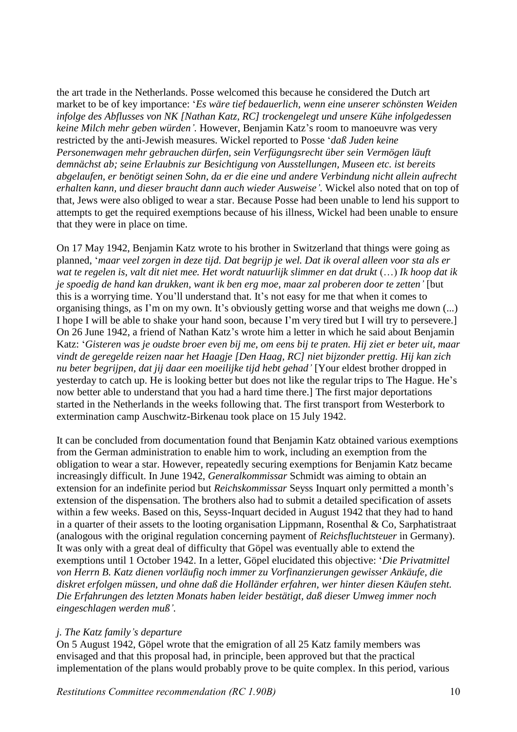the art trade in the Netherlands. Posse welcomed this because he considered the Dutch art market to be of key importance: '*Es wäre tief bedauerlich, wenn eine unserer schönsten Weiden infolge des Abflusses von NK [Nathan Katz, RC] trockengelegt und unsere Kühe infolgedessen keine Milch mehr geben würden'.* However, Benjamin Katz's room to manoeuvre was very restricted by the anti-Jewish measures. Wickel reported to Posse '*daß Juden keine Personenwagen mehr gebrauchen dürfen, sein Verfügungsrecht über sein Vermögen läuft demnächst ab; seine Erlaubnis zur Besichtigung von Ausstellungen, Museen etc. ist bereits abgelaufen, er benötigt seinen Sohn, da er die eine und andere Verbindung nicht allein aufrecht erhalten kann, und dieser braucht dann auch wieder Ausweise'.* Wickel also noted that on top of that, Jews were also obliged to wear a star. Because Posse had been unable to lend his support to attempts to get the required exemptions because of his illness, Wickel had been unable to ensure that they were in place on time.

On 17 May 1942, Benjamin Katz wrote to his brother in Switzerland that things were going as planned, '*maar veel zorgen in deze tijd. Dat begrijp je wel. Dat ik overal alleen voor sta als er*  wat te regelen is, valt dit niet mee. Het wordt natuurlijk slimmer en dat drukt (...) Ik hoop dat ik *je spoedig de hand kan drukken, want ik ben erg moe, maar zal proberen door te zetten'* [but this is a worrying time. You'll understand that. It's not easy for me that when it comes to organising things, as I'm on my own. It's obviously getting worse and that weighs me down (...) I hope I will be able to shake your hand soon, because I'm very tired but I will try to persevere.] On 26 June 1942, a friend of Nathan Katz's wrote him a letter in which he said about Benjamin Katz: '*Gisteren was je oudste broer even bij me, om eens bij te praten. Hij ziet er beter uit, maar vindt de geregelde reizen naar het Haagje [Den Haag, RC] niet bijzonder prettig. Hij kan zich nu beter begrijpen, dat jij daar een moeilijke tijd hebt gehad'* [Your eldest brother dropped in yesterday to catch up. He is looking better but does not like the regular trips to The Hague. He's now better able to understand that you had a hard time there.] The first major deportations started in the Netherlands in the weeks following that. The first transport from Westerbork to extermination camp Auschwitz-Birkenau took place on 15 July 1942.

It can be concluded from documentation found that Benjamin Katz obtained various exemptions from the German administration to enable him to work, including an exemption from the obligation to wear a star. However, repeatedly securing exemptions for Benjamin Katz became increasingly difficult. In June 1942, *Generalkommissar* Schmidt was aiming to obtain an extension for an indefinite period but *Reichskommissar* Seyss Inquart only permitted a month's extension of the dispensation. The brothers also had to submit a detailed specification of assets within a few weeks. Based on this, Seyss-Inquart decided in August 1942 that they had to hand in a quarter of their assets to the looting organisation Lippmann, Rosenthal & Co, Sarphatistraat (analogous with the original regulation concerning payment of *Reichsfluchtsteuer* in Germany). It was only with a great deal of difficulty that Göpel was eventually able to extend the exemptions until 1 October 1942. In a letter, Göpel elucidated this objective: '*Die Privatmittel von Herrn B. Katz dienen vorläufig noch immer zu Vorfinanzierungen gewisser Ankäufe, die diskret erfolgen müssen, und ohne daß die Holländer erfahren, wer hinter diesen Käufen steht. Die Erfahrungen des letzten Monats haben leider bestätigt, daß dieser Umweg immer noch eingeschlagen werden muß'.*

## *j. The Katz family's departure*

On 5 August 1942, Göpel wrote that the emigration of all 25 Katz family members was envisaged and that this proposal had, in principle, been approved but that the practical implementation of the plans would probably prove to be quite complex. In this period, various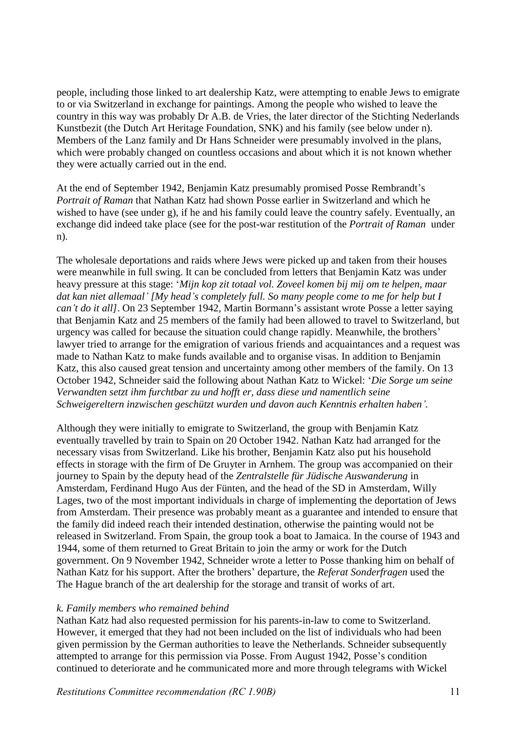people, including those linked to art dealership Katz, were attempting to enable Jews to emigrate to or via Switzerland in exchange for paintings. Among the people who wished to leave the country in this way was probably Dr A.B. de Vries, the later director of the Stichting Nederlands Kunstbezit (the Dutch Art Heritage Foundation, SNK) and his family (see below under n). Members of the Lanz family and Dr Hans Schneider were presumably involved in the plans, which were probably changed on countless occasions and about which it is not known whether they were actually carried out in the end.

At the end of September 1942, Benjamin Katz presumably promised Posse Rembrandt's *Portrait of Raman* that Nathan Katz had shown Posse earlier in Switzerland and which he wished to have (see under g), if he and his family could leave the country safely. Eventually, an exchange did indeed take place (see for the post-war restitution of the *Portrait of Raman* under n).

The wholesale deportations and raids where Jews were picked up and taken from their houses were meanwhile in full swing. It can be concluded from letters that Benjamin Katz was under heavy pressure at this stage: '*Mijn kop zit totaal vol. Zoveel komen bij mij om te helpen, maar dat kan niet allemaal' [My head's completely full. So many people come to me for help but I can't do it all]*. On 23 September 1942, Martin Bormann's assistant wrote Posse a letter saying that Benjamin Katz and 25 members of the family had been allowed to travel to Switzerland, but urgency was called for because the situation could change rapidly. Meanwhile, the brothers' lawyer tried to arrange for the emigration of various friends and acquaintances and a request was made to Nathan Katz to make funds available and to organise visas. In addition to Benjamin Katz, this also caused great tension and uncertainty among other members of the family. On 13 October 1942, Schneider said the following about Nathan Katz to Wickel: '*Die Sorge um seine Verwandten setzt ihm furchtbar zu und hofft er, dass diese und namentlich seine Schweigereltern inzwischen geschützt wurden und davon auch Kenntnis erhalten haben'.*

Although they were initially to emigrate to Switzerland, the group with Benjamin Katz eventually travelled by train to Spain on 20 October 1942. Nathan Katz had arranged for the necessary visas from Switzerland. Like his brother, Benjamin Katz also put his household effects in storage with the firm of De Gruyter in Arnhem. The group was accompanied on their journey to Spain by the deputy head of the *Zentralstelle für Jüdische Auswanderung* in Amsterdam, Ferdinand Hugo Aus der Fünten, and the head of the SD in Amsterdam, Willy Lages, two of the most important individuals in charge of implementing the deportation of Jews from Amsterdam. Their presence was probably meant as a guarantee and intended to ensure that the family did indeed reach their intended destination, otherwise the painting would not be released in Switzerland. From Spain, the group took a boat to Jamaica. In the course of 1943 and 1944, some of them returned to Great Britain to join the army or work for the Dutch government. On 9 November 1942, Schneider wrote a letter to Posse thanking him on behalf of Nathan Katz for his support. After the brothers' departure, the *Referat Sonderfragen* used the The Hague branch of the art dealership for the storage and transit of works of art.

### *k. Family members who remained behind*

Nathan Katz had also requested permission for his parents-in-law to come to Switzerland. However, it emerged that they had not been included on the list of individuals who had been given permission by the German authorities to leave the Netherlands. Schneider subsequently attempted to arrange for this permission via Posse. From August 1942, Posse's condition continued to deteriorate and he communicated more and more through telegrams with Wickel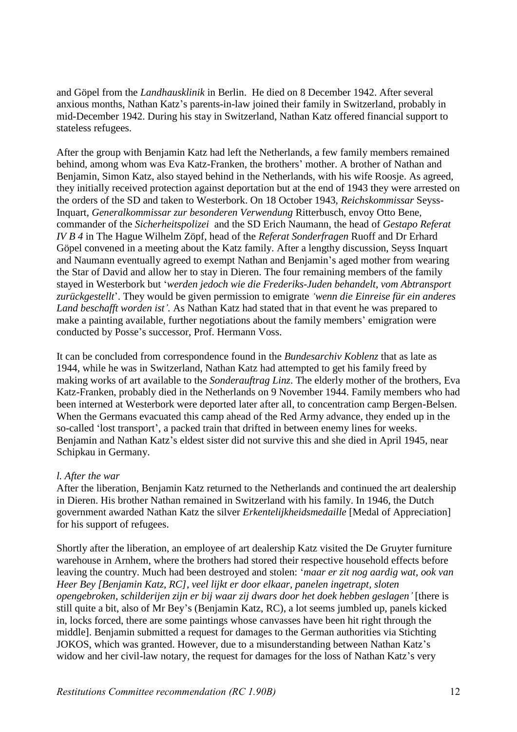and Göpel from the *Landhausklinik* in Berlin. He died on 8 December 1942. After several anxious months, Nathan Katz's parents-in-law joined their family in Switzerland, probably in mid-December 1942. During his stay in Switzerland, Nathan Katz offered financial support to stateless refugees.

After the group with Benjamin Katz had left the Netherlands, a few family members remained behind, among whom was Eva Katz-Franken, the brothers' mother. A brother of Nathan and Benjamin, Simon Katz, also stayed behind in the Netherlands, with his wife Roosje. As agreed, they initially received protection against deportation but at the end of 1943 they were arrested on the orders of the SD and taken to Westerbork. On 18 October 1943, *Reichskommissar* Seyss-Inquart, *Generalkommissar zur besonderen Verwendung* Ritterbusch, envoy Otto Bene, commander of the *Sicherheitspolizei* and the SD Erich Naumann, the head of *Gestapo Referat IV B 4* in The Hague Wilhelm Zöpf, head of the *Referat Sonderfragen* Ruoff and Dr Erhard Göpel convened in a meeting about the Katz family. After a lengthy discussion, Seyss Inquart and Naumann eventually agreed to exempt Nathan and Benjamin's aged mother from wearing the Star of David and allow her to stay in Dieren. The four remaining members of the family stayed in Westerbork but '*werden jedoch wie die Frederiks-Juden behandelt, vom Abtransport zurückgestellt*'. They would be given permission to emigrate *'wenn die Einreise für ein anderes Land beschafft worden ist'.* As Nathan Katz had stated that in that event he was prepared to make a painting available, further negotiations about the family members' emigration were conducted by Posse's successor, Prof. Hermann Voss.

It can be concluded from correspondence found in the *Bundesarchiv Koblenz* that as late as 1944, while he was in Switzerland, Nathan Katz had attempted to get his family freed by making works of art available to the *Sonderauftrag Linz*. The elderly mother of the brothers, Eva Katz-Franken, probably died in the Netherlands on 9 November 1944. Family members who had been interned at Westerbork were deported later after all, to concentration camp Bergen-Belsen. When the Germans evacuated this camp ahead of the Red Army advance, they ended up in the so-called 'lost transport', a packed train that drifted in between enemy lines for weeks. Benjamin and Nathan Katz's eldest sister did not survive this and she died in April 1945, near Schipkau in Germany.

### *l. After the war*

After the liberation, Benjamin Katz returned to the Netherlands and continued the art dealership in Dieren. His brother Nathan remained in Switzerland with his family. In 1946, the Dutch government awarded Nathan Katz the silver *Erkentelijkheidsmedaille* [Medal of Appreciation] for his support of refugees.

Shortly after the liberation, an employee of art dealership Katz visited the De Gruyter furniture warehouse in Arnhem, where the brothers had stored their respective household effects before leaving the country. Much had been destroyed and stolen: '*maar er zit nog aardig wat, ook van Heer Bey [Benjamin Katz, RC], veel lijkt er door elkaar, panelen ingetrapt, sloten opengebroken, schilderijen zijn er bij waar zij dwars door het doek hebben geslagen'* [there is still quite a bit, also of Mr Bey's (Benjamin Katz, RC), a lot seems jumbled up, panels kicked in, locks forced, there are some paintings whose canvasses have been hit right through the middle]. Benjamin submitted a request for damages to the German authorities via Stichting JOKOS, which was granted. However, due to a misunderstanding between Nathan Katz's widow and her civil-law notary, the request for damages for the loss of Nathan Katz's very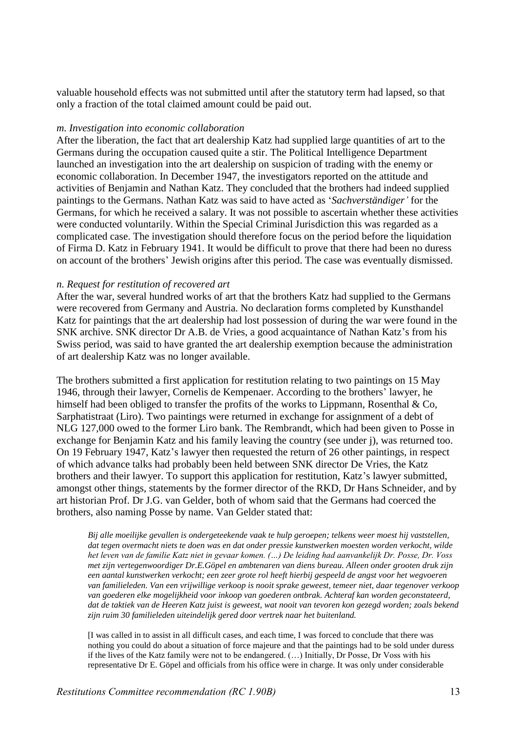valuable household effects was not submitted until after the statutory term had lapsed, so that only a fraction of the total claimed amount could be paid out.

#### *m. Investigation into economic collaboration*

After the liberation, the fact that art dealership Katz had supplied large quantities of art to the Germans during the occupation caused quite a stir. The Political Intelligence Department launched an investigation into the art dealership on suspicion of trading with the enemy or economic collaboration. In December 1947, the investigators reported on the attitude and activities of Benjamin and Nathan Katz. They concluded that the brothers had indeed supplied paintings to the Germans. Nathan Katz was said to have acted as '*Sachverständiger'* for the Germans, for which he received a salary. It was not possible to ascertain whether these activities were conducted voluntarily. Within the Special Criminal Jurisdiction this was regarded as a complicated case. The investigation should therefore focus on the period before the liquidation of Firma D. Katz in February 1941. It would be difficult to prove that there had been no duress on account of the brothers' Jewish origins after this period. The case was eventually dismissed.

#### *n. Request for restitution of recovered art*

After the war, several hundred works of art that the brothers Katz had supplied to the Germans were recovered from Germany and Austria. No declaration forms completed by Kunsthandel Katz for paintings that the art dealership had lost possession of during the war were found in the SNK archive. SNK director Dr A.B. de Vries, a good acquaintance of Nathan Katz's from his Swiss period, was said to have granted the art dealership exemption because the administration of art dealership Katz was no longer available.

The brothers submitted a first application for restitution relating to two paintings on 15 May 1946, through their lawyer, Cornelis de Kempenaer. According to the brothers' lawyer, he himself had been obliged to transfer the profits of the works to Lippmann, Rosenthal & Co, Sarphatistraat (Liro). Two paintings were returned in exchange for assignment of a debt of NLG 127,000 owed to the former Liro bank. The Rembrandt, which had been given to Posse in exchange for Benjamin Katz and his family leaving the country (see under j), was returned too. On 19 February 1947, Katz's lawyer then requested the return of 26 other paintings, in respect of which advance talks had probably been held between SNK director De Vries, the Katz brothers and their lawyer. To support this application for restitution, Katz's lawyer submitted, amongst other things, statements by the former director of the RKD, Dr Hans Schneider, and by art historian Prof. Dr J.G. van Gelder, both of whom said that the Germans had coerced the brothers, also naming Posse by name. Van Gelder stated that:

*Bij alle moeilijke gevallen is ondergeteekende vaak te hulp geroepen; telkens weer moest hij vaststellen, dat tegen overmacht niets te doen was en dat onder pressie kunstwerken moesten worden verkocht, wilde het leven van de familie Katz niet in gevaar komen. (…) De leiding had aanvankelijk Dr. Posse, Dr. Voss met zijn vertegenwoordiger Dr.E.Göpel en ambtenaren van diens bureau. Alleen onder grooten druk zijn een aantal kunstwerken verkocht; een zeer grote rol heeft hierbij gespeeld de angst voor het wegvoeren van familieleden. Van een vrijwillige verkoop is nooit sprake geweest, temeer niet, daar tegenover verkoop van goederen elke mogelijkheid voor inkoop van goederen ontbrak. Achteraf kan worden geconstateerd, dat de taktiek van de Heeren Katz juist is geweest, wat nooit van tevoren kon gezegd worden; zoals bekend zijn ruim 30 familieleden uiteindelijk gered door vertrek naar het buitenland.* 

[I was called in to assist in all difficult cases, and each time, I was forced to conclude that there was nothing you could do about a situation of force majeure and that the paintings had to be sold under duress if the lives of the Katz family were not to be endangered. (…) Initially, Dr Posse, Dr Voss with his representative Dr E. Göpel and officials from his office were in charge. It was only under considerable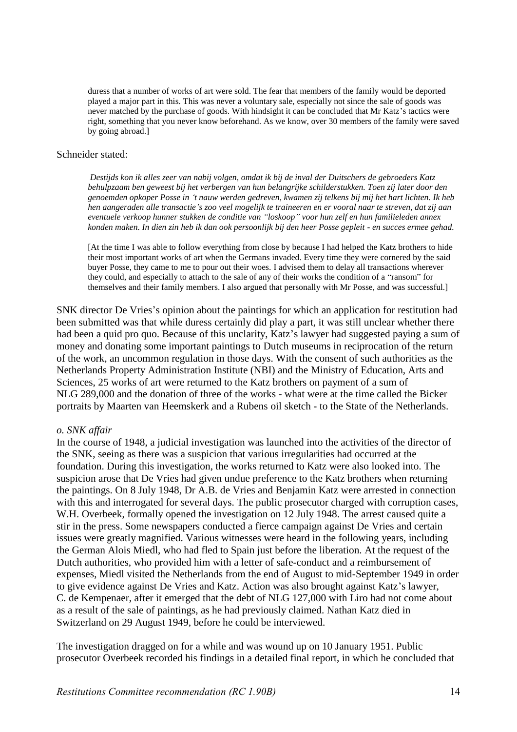duress that a number of works of art were sold. The fear that members of the family would be deported played a major part in this. This was never a voluntary sale, especially not since the sale of goods was never matched by the purchase of goods. With hindsight it can be concluded that Mr Katz's tactics were right, something that you never know beforehand. As we know, over 30 members of the family were saved by going abroad.]

#### Schneider stated:

*Destijds kon ik alles zeer van nabij volgen, omdat ik bij de inval der Duitschers de gebroeders Katz behulpzaam ben geweest bij het verbergen van hun belangrijke schilderstukken. Toen zij later door den genoemden opkoper Posse in 't nauw werden gedreven, kwamen zij telkens bij mij het hart lichten. Ik heb hen aangeraden alle transactie's zoo veel mogelijk te traineeren en er vooral naar te streven, dat zij aan eventuele verkoop hunner stukken de conditie van "loskoop" voor hun zelf en hun familieleden annex konden maken. In dien zin heb ik dan ook persoonlijk bij den heer Posse gepleit - en succes ermee gehad.*

[At the time I was able to follow everything from close by because I had helped the Katz brothers to hide their most important works of art when the Germans invaded. Every time they were cornered by the said buyer Posse, they came to me to pour out their woes. I advised them to delay all transactions wherever they could, and especially to attach to the sale of any of their works the condition of a "ransom" for themselves and their family members. I also argued that personally with Mr Posse, and was successful.]

SNK director De Vries's opinion about the paintings for which an application for restitution had been submitted was that while duress certainly did play a part, it was still unclear whether there had been a quid pro quo. Because of this unclarity, Katz's lawyer had suggested paying a sum of money and donating some important paintings to Dutch museums in reciprocation of the return of the work, an uncommon regulation in those days. With the consent of such authorities as the Netherlands Property Administration Institute (NBI) and the Ministry of Education, Arts and Sciences, 25 works of art were returned to the Katz brothers on payment of a sum of NLG 289,000 and the donation of three of the works - what were at the time called the Bicker portraits by Maarten van Heemskerk and a Rubens oil sketch - to the State of the Netherlands.

### *o. SNK affair*

In the course of 1948, a judicial investigation was launched into the activities of the director of the SNK, seeing as there was a suspicion that various irregularities had occurred at the foundation. During this investigation, the works returned to Katz were also looked into. The suspicion arose that De Vries had given undue preference to the Katz brothers when returning the paintings. On 8 July 1948, Dr A.B. de Vries and Benjamin Katz were arrested in connection with this and interrogated for several days. The public prosecutor charged with corruption cases, W.H. Overbeek, formally opened the investigation on 12 July 1948. The arrest caused quite a stir in the press. Some newspapers conducted a fierce campaign against De Vries and certain issues were greatly magnified. Various witnesses were heard in the following years, including the German Alois Miedl, who had fled to Spain just before the liberation. At the request of the Dutch authorities, who provided him with a letter of safe-conduct and a reimbursement of expenses, Miedl visited the Netherlands from the end of August to mid-September 1949 in order to give evidence against De Vries and Katz. Action was also brought against Katz's lawyer, C. de Kempenaer, after it emerged that the debt of NLG 127,000 with Liro had not come about as a result of the sale of paintings, as he had previously claimed. Nathan Katz died in Switzerland on 29 August 1949, before he could be interviewed.

The investigation dragged on for a while and was wound up on 10 January 1951. Public prosecutor Overbeek recorded his findings in a detailed final report, in which he concluded that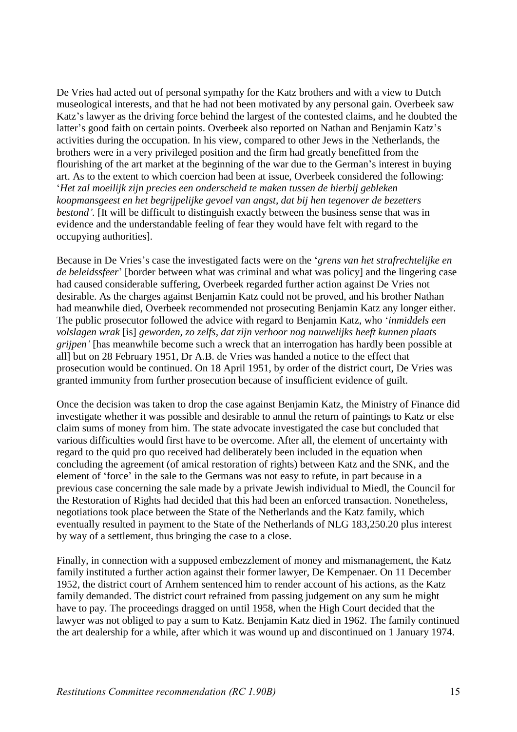De Vries had acted out of personal sympathy for the Katz brothers and with a view to Dutch museological interests, and that he had not been motivated by any personal gain. Overbeek saw Katz's lawyer as the driving force behind the largest of the contested claims, and he doubted the latter's good faith on certain points. Overbeek also reported on Nathan and Benjamin Katz's activities during the occupation. In his view, compared to other Jews in the Netherlands, the brothers were in a very privileged position and the firm had greatly benefitted from the flourishing of the art market at the beginning of the war due to the German's interest in buying art. As to the extent to which coercion had been at issue, Overbeek considered the following: '*Het zal moeilijk zijn precies een onderscheid te maken tussen de hierbij gebleken koopmansgeest en het begrijpelijke gevoel van angst, dat bij hen tegenover de bezetters bestond'*. [It will be difficult to distinguish exactly between the business sense that was in evidence and the understandable feeling of fear they would have felt with regard to the occupying authorities].

Because in De Vries's case the investigated facts were on the '*grens van het strafrechtelijke en de beleidssfeer*' [border between what was criminal and what was policy] and the lingering case had caused considerable suffering, Overbeek regarded further action against De Vries not desirable. As the charges against Benjamin Katz could not be proved, and his brother Nathan had meanwhile died, Overbeek recommended not prosecuting Benjamin Katz any longer either. The public prosecutor followed the advice with regard to Benjamin Katz, who '*inmiddels een volslagen wrak* [is] *geworden, zo zelfs, dat zijn verhoor nog nauwelijks heeft kunnen plaats grijpen'* [has meanwhile become such a wreck that an interrogation has hardly been possible at all] but on 28 February 1951, Dr A.B. de Vries was handed a notice to the effect that prosecution would be continued. On 18 April 1951, by order of the district court, De Vries was granted immunity from further prosecution because of insufficient evidence of guilt.

Once the decision was taken to drop the case against Benjamin Katz, the Ministry of Finance did investigate whether it was possible and desirable to annul the return of paintings to Katz or else claim sums of money from him. The state advocate investigated the case but concluded that various difficulties would first have to be overcome. After all, the element of uncertainty with regard to the quid pro quo received had deliberately been included in the equation when concluding the agreement (of amical restoration of rights) between Katz and the SNK, and the element of 'force' in the sale to the Germans was not easy to refute, in part because in a previous case concerning the sale made by a private Jewish individual to Miedl, the Council for the Restoration of Rights had decided that this had been an enforced transaction. Nonetheless, negotiations took place between the State of the Netherlands and the Katz family, which eventually resulted in payment to the State of the Netherlands of NLG 183,250.20 plus interest by way of a settlement, thus bringing the case to a close.

Finally, in connection with a supposed embezzlement of money and mismanagement, the Katz family instituted a further action against their former lawyer, De Kempenaer. On 11 December 1952, the district court of Arnhem sentenced him to render account of his actions, as the Katz family demanded. The district court refrained from passing judgement on any sum he might have to pay. The proceedings dragged on until 1958, when the High Court decided that the lawyer was not obliged to pay a sum to Katz. Benjamin Katz died in 1962. The family continued the art dealership for a while, after which it was wound up and discontinued on 1 January 1974.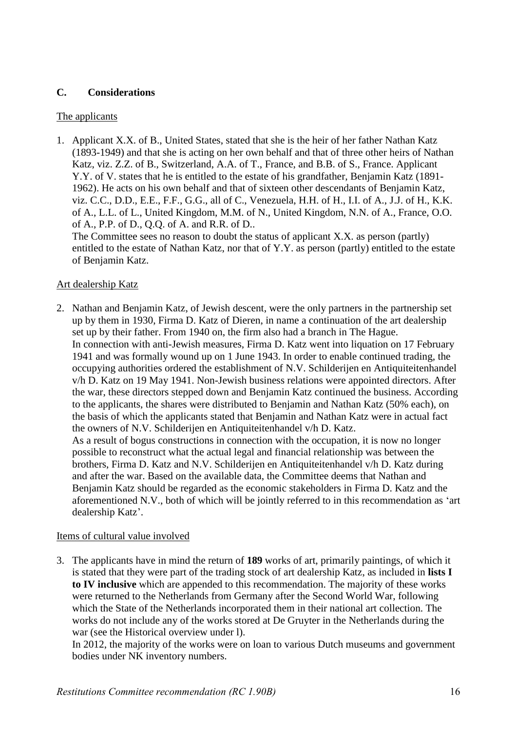## **C. Considerations**

## The applicants

1. Applicant X.X. of B., United States, stated that she is the heir of her father Nathan Katz (1893-1949) and that she is acting on her own behalf and that of three other heirs of Nathan Katz, viz. Z.Z. of B., Switzerland, A.A. of T., France, and B.B. of S., France. Applicant Y.Y. of V. states that he is entitled to the estate of his grandfather, Benjamin Katz (1891- 1962). He acts on his own behalf and that of sixteen other descendants of Benjamin Katz, viz. C.C., D.D., E.E., F.F., G.G., all of C., Venezuela, H.H. of H., I.I. of A., J.J. of H., K.K. of A., L.L. of L., United Kingdom, M.M. of N., United Kingdom, N.N. of A., France, O.O. of A., P.P. of D., Q.Q. of A. and R.R. of D..

The Committee sees no reason to doubt the status of applicant X.X. as person (partly) entitled to the estate of Nathan Katz, nor that of Y.Y. as person (partly) entitled to the estate of Benjamin Katz.

## Art dealership Katz

2. Nathan and Benjamin Katz, of Jewish descent, were the only partners in the partnership set up by them in 1930, Firma D. Katz of Dieren, in name a continuation of the art dealership set up by their father. From 1940 on, the firm also had a branch in The Hague. In connection with anti-Jewish measures, Firma D. Katz went into liquation on 17 February 1941 and was formally wound up on 1 June 1943. In order to enable continued trading, the occupying authorities ordered the establishment of N.V. Schilderijen en Antiquiteitenhandel v/h D. Katz on 19 May 1941. Non-Jewish business relations were appointed directors. After the war, these directors stepped down and Benjamin Katz continued the business. According to the applicants, the shares were distributed to Benjamin and Nathan Katz (50% each), on the basis of which the applicants stated that Benjamin and Nathan Katz were in actual fact the owners of N.V. Schilderijen en Antiquiteitenhandel v/h D. Katz. As a result of bogus constructions in connection with the occupation, it is now no longer possible to reconstruct what the actual legal and financial relationship was between the brothers, Firma D. Katz and N.V. Schilderijen en Antiquiteitenhandel v/h D. Katz during and after the war. Based on the available data, the Committee deems that Nathan and Benjamin Katz should be regarded as the economic stakeholders in Firma D. Katz and the aforementioned N.V., both of which will be jointly referred to in this recommendation as 'art

## Items of cultural value involved

dealership Katz'.

3. The applicants have in mind the return of **189** works of art, primarily paintings, of which it is stated that they were part of the trading stock of art dealership Katz, as included in **lists I to IV inclusive** which are appended to this recommendation. The majority of these works were returned to the Netherlands from Germany after the Second World War, following which the State of the Netherlands incorporated them in their national art collection. The works do not include any of the works stored at De Gruyter in the Netherlands during the war (see the Historical overview under l).

In 2012, the majority of the works were on loan to various Dutch museums and government bodies under NK inventory numbers.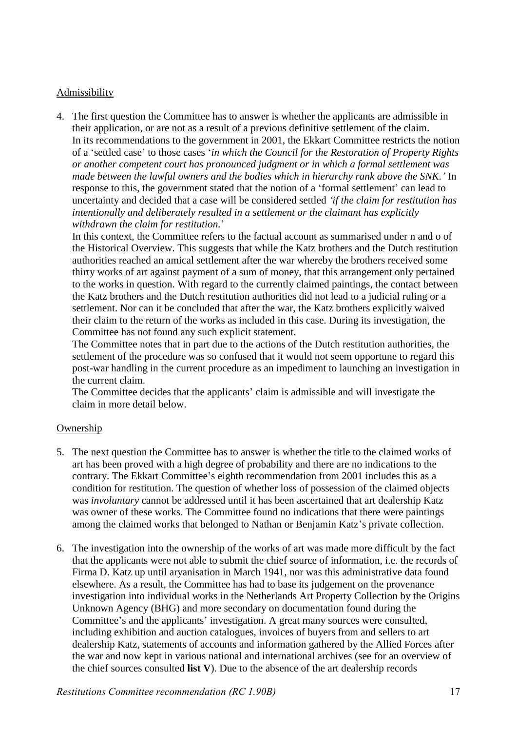## Admissibility

4. The first question the Committee has to answer is whether the applicants are admissible in their application, or are not as a result of a previous definitive settlement of the claim. In its recommendations to the government in 2001, the Ekkart Committee restricts the notion of a 'settled case' to those cases '*in which the Council for the Restoration of Property Rights or another competent court has pronounced judgment or in which a formal settlement was made between the lawful owners and the bodies which in hierarchy rank above the SNK.'* In response to this, the government stated that the notion of a 'formal settlement' can lead to uncertainty and decided that a case will be considered settled *'if the claim for restitution has intentionally and deliberately resulted in a settlement or the claimant has explicitly withdrawn the claim for restitution.*'

In this context, the Committee refers to the factual account as summarised under n and o of the Historical Overview. This suggests that while the Katz brothers and the Dutch restitution authorities reached an amical settlement after the war whereby the brothers received some thirty works of art against payment of a sum of money, that this arrangement only pertained to the works in question. With regard to the currently claimed paintings, the contact between the Katz brothers and the Dutch restitution authorities did not lead to a judicial ruling or a settlement. Nor can it be concluded that after the war, the Katz brothers explicitly waived their claim to the return of the works as included in this case. During its investigation, the Committee has not found any such explicit statement.

The Committee notes that in part due to the actions of the Dutch restitution authorities, the settlement of the procedure was so confused that it would not seem opportune to regard this post-war handling in the current procedure as an impediment to launching an investigation in the current claim.

The Committee decides that the applicants' claim is admissible and will investigate the claim in more detail below.

## **Ownership**

- 5. The next question the Committee has to answer is whether the title to the claimed works of art has been proved with a high degree of probability and there are no indications to the contrary. The Ekkart Committee's eighth recommendation from 2001 includes this as a condition for restitution. The question of whether loss of possession of the claimed objects was *involuntary* cannot be addressed until it has been ascertained that art dealership Katz was owner of these works. The Committee found no indications that there were paintings among the claimed works that belonged to Nathan or Benjamin Katz's private collection.
- 6. The investigation into the ownership of the works of art was made more difficult by the fact that the applicants were not able to submit the chief source of information, i.e. the records of Firma D. Katz up until aryanisation in March 1941, nor was this administrative data found elsewhere. As a result, the Committee has had to base its judgement on the provenance investigation into individual works in the Netherlands Art Property Collection by the Origins Unknown Agency (BHG) and more secondary on documentation found during the Committee's and the applicants' investigation. A great many sources were consulted, including exhibition and auction catalogues, invoices of buyers from and sellers to art dealership Katz, statements of accounts and information gathered by the Allied Forces after the war and now kept in various national and international archives (see for an overview of the chief sources consulted **list V**). Due to the absence of the art dealership records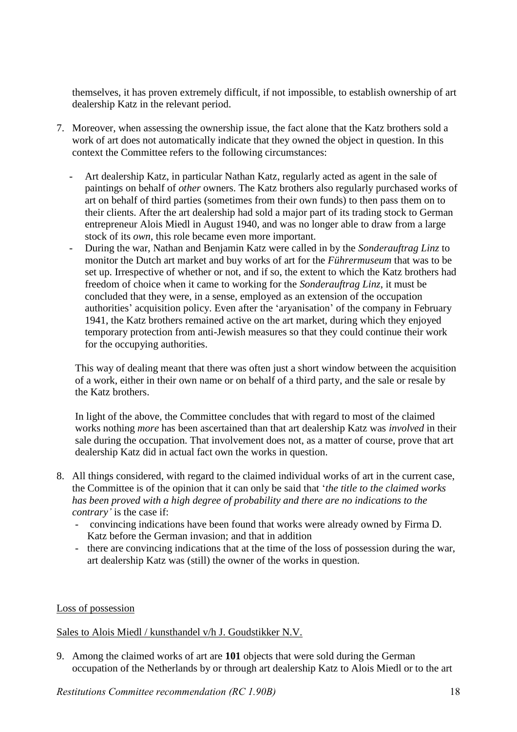themselves, it has proven extremely difficult, if not impossible, to establish ownership of art dealership Katz in the relevant period.

- 7. Moreover, when assessing the ownership issue, the fact alone that the Katz brothers sold a work of art does not automatically indicate that they owned the object in question. In this context the Committee refers to the following circumstances:
	- Art dealership Katz, in particular Nathan Katz, regularly acted as agent in the sale of paintings on behalf of *other* owners. The Katz brothers also regularly purchased works of art on behalf of third parties (sometimes from their own funds) to then pass them on to their clients. After the art dealership had sold a major part of its trading stock to German entrepreneur Alois Miedl in August 1940, and was no longer able to draw from a large stock of its *own*, this role became even more important.
	- During the war, Nathan and Benjamin Katz were called in by the *Sonderauftrag Linz* to monitor the Dutch art market and buy works of art for the *Führermuseum* that was to be set up. Irrespective of whether or not, and if so, the extent to which the Katz brothers had freedom of choice when it came to working for the *Sonderauftrag Linz*, it must be concluded that they were, in a sense, employed as an extension of the occupation authorities' acquisition policy. Even after the 'aryanisation' of the company in February 1941, the Katz brothers remained active on the art market, during which they enjoyed temporary protection from anti-Jewish measures so that they could continue their work for the occupying authorities.

This way of dealing meant that there was often just a short window between the acquisition of a work, either in their own name or on behalf of a third party, and the sale or resale by the Katz brothers.

In light of the above, the Committee concludes that with regard to most of the claimed works nothing *more* has been ascertained than that art dealership Katz was *involved* in their sale during the occupation. That involvement does not, as a matter of course, prove that art dealership Katz did in actual fact own the works in question.

- 8. All things considered, with regard to the claimed individual works of art in the current case, the Committee is of the opinion that it can only be said that '*the title to the claimed works has been proved with a high degree of probability and there are no indications to the contrary'* is the case if:
	- convincing indications have been found that works were already owned by Firma D. Katz before the German invasion; and that in addition
	- there are convincing indications that at the time of the loss of possession during the war, art dealership Katz was (still) the owner of the works in question.

## Loss of possession

### Sales to Alois Miedl / kunsthandel v/h J. Goudstikker N.V.

9. Among the claimed works of art are **101** objects that were sold during the German occupation of the Netherlands by or through art dealership Katz to Alois Miedl or to the art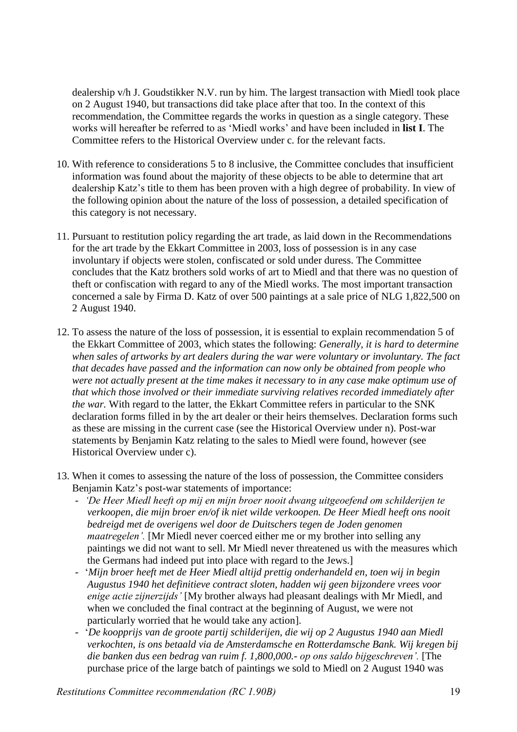dealership v/h J. Goudstikker N.V. run by him. The largest transaction with Miedl took place on 2 August 1940, but transactions did take place after that too. In the context of this recommendation, the Committee regards the works in question as a single category. These works will hereafter be referred to as 'Miedl works' and have been included in **list I**. The Committee refers to the Historical Overview under c. for the relevant facts.

- 10. With reference to considerations 5 to 8 inclusive, the Committee concludes that insufficient information was found about the majority of these objects to be able to determine that art dealership Katz's title to them has been proven with a high degree of probability. In view of the following opinion about the nature of the loss of possession, a detailed specification of this category is not necessary.
- 11. Pursuant to restitution policy regarding the art trade, as laid down in the Recommendations for the art trade by the Ekkart Committee in 2003, loss of possession is in any case involuntary if objects were stolen, confiscated or sold under duress. The Committee concludes that the Katz brothers sold works of art to Miedl and that there was no question of theft or confiscation with regard to any of the Miedl works. The most important transaction concerned a sale by Firma D. Katz of over 500 paintings at a sale price of NLG 1,822,500 on 2 August 1940.
- 12. To assess the nature of the loss of possession, it is essential to explain recommendation 5 of the Ekkart Committee of 2003, which states the following: *Generally, it is hard to determine when sales of artworks by art dealers during the war were voluntary or involuntary. The fact that decades have passed and the information can now only be obtained from people who were not actually present at the time makes it necessary to in any case make optimum use of that which those involved or their immediate surviving relatives recorded immediately after the war.* With regard to the latter, the Ekkart Committee refers in particular to the SNK declaration forms filled in by the art dealer or their heirs themselves. Declaration forms such as these are missing in the current case (see the Historical Overview under n). Post-war statements by Benjamin Katz relating to the sales to Miedl were found, however (see Historical Overview under c).
- 13. When it comes to assessing the nature of the loss of possession, the Committee considers Benjamin Katz's post-war statements of importance:
	- *'De Heer Miedl heeft op mij en mijn broer nooit dwang uitgeoefend om schilderijen te verkoopen, die mijn broer en/of ik niet wilde verkoopen. De Heer Miedl heeft ons nooit bedreigd met de overigens wel door de Duitschers tegen de Joden genomen maatregelen'.* [Mr Miedl never coerced either me or my brother into selling any paintings we did not want to sell. Mr Miedl never threatened us with the measures which the Germans had indeed put into place with regard to the Jews.]
	- '*Mijn broer heeft met de Heer Miedl altijd prettig onderhandeld en, toen wij in begin Augustus 1940 het definitieve contract sloten, hadden wij geen bijzondere vrees voor enige actie zijnerzijds'* [My brother always had pleasant dealings with Mr Miedl, and when we concluded the final contract at the beginning of August, we were not particularly worried that he would take any action].
	- '*De koopprijs van de groote partij schilderijen, die wij op 2 Augustus 1940 aan Miedl verkochten, is ons betaald via de Amsterdamsche en Rotterdamsche Bank. Wij kregen bij die banken dus een bedrag van ruim f. 1,800,000.- op ons saldo bijgeschreven'.* [The purchase price of the large batch of paintings we sold to Miedl on 2 August 1940 was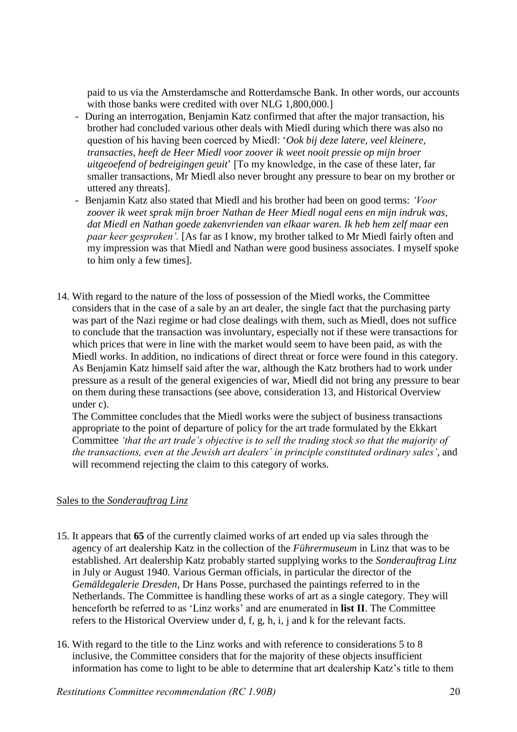paid to us via the Amsterdamsche and Rotterdamsche Bank. In other words, our accounts with those banks were credited with over NLG 1,800,000.

- During an interrogation, Benjamin Katz confirmed that after the major transaction, his brother had concluded various other deals with Miedl during which there was also no question of his having been coerced by Miedl: '*Ook bij deze latere, veel kleinere, transacties, heeft de Heer Miedl voor zoover ik weet nooit pressie op mijn broer uitgeoefend of bedreigingen geuit*' [To my knowledge, in the case of these later, far smaller transactions, Mr Miedl also never brought any pressure to bear on my brother or uttered any threats].
- Benjamin Katz also stated that Miedl and his brother had been on good terms: *'Voor zoover ik weet sprak mijn broer Nathan de Heer Miedl nogal eens en mijn indruk was, dat Miedl en Nathan goede zakenvrienden van elkaar waren. Ik heb hem zelf maar een paar keer gesproken'.* [As far as I know, my brother talked to Mr Miedl fairly often and my impression was that Miedl and Nathan were good business associates. I myself spoke to him only a few times].
- 14. With regard to the nature of the loss of possession of the Miedl works, the Committee considers that in the case of a sale by an art dealer, the single fact that the purchasing party was part of the Nazi regime or had close dealings with them, such as Miedl, does not suffice to conclude that the transaction was involuntary, especially not if these were transactions for which prices that were in line with the market would seem to have been paid, as with the Miedl works. In addition, no indications of direct threat or force were found in this category. As Benjamin Katz himself said after the war, although the Katz brothers had to work under pressure as a result of the general exigencies of war, Miedl did not bring any pressure to bear on them during these transactions (see above, consideration 13, and Historical Overview under c).

The Committee concludes that the Miedl works were the subject of business transactions appropriate to the point of departure of policy for the art trade formulated by the Ekkart Committee *'that the art trade's objective is to sell the trading stock so that the majority of the transactions, even at the Jewish art dealers' in principle constituted ordinary sales'*, and will recommend rejecting the claim to this category of works.

## Sales to the *Sonderauftrag Linz*

- 15. It appears that **65** of the currently claimed works of art ended up via sales through the agency of art dealership Katz in the collection of the *Führermuseum* in Linz that was to be established. Art dealership Katz probably started supplying works to the *Sonderauftrag Linz* in July or August 1940. Various German officials, in particular the director of the *Gemäldegalerie Dresden*, Dr Hans Posse, purchased the paintings referred to in the Netherlands. The Committee is handling these works of art as a single category. They will henceforth be referred to as 'Linz works' and are enumerated in **list II**. The Committee refers to the Historical Overview under d, f, g, h, i, j and k for the relevant facts.
- 16. With regard to the title to the Linz works and with reference to considerations 5 to 8 inclusive, the Committee considers that for the majority of these objects insufficient information has come to light to be able to determine that art dealership Katz's title to them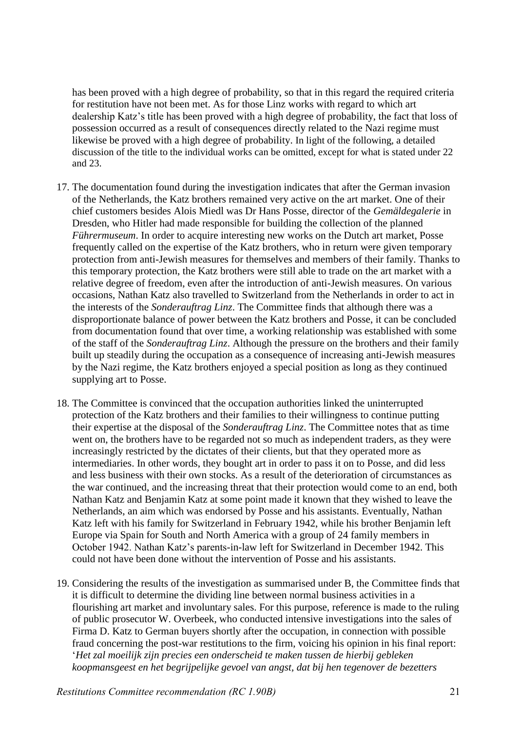has been proved with a high degree of probability, so that in this regard the required criteria for restitution have not been met. As for those Linz works with regard to which art dealership Katz's title has been proved with a high degree of probability, the fact that loss of possession occurred as a result of consequences directly related to the Nazi regime must likewise be proved with a high degree of probability. In light of the following, a detailed discussion of the title to the individual works can be omitted, except for what is stated under 22 and 23.

- 17. The documentation found during the investigation indicates that after the German invasion of the Netherlands, the Katz brothers remained very active on the art market. One of their chief customers besides Alois Miedl was Dr Hans Posse, director of the *Gemäldegalerie* in Dresden, who Hitler had made responsible for building the collection of the planned *Führermuseum*. In order to acquire interesting new works on the Dutch art market, Posse frequently called on the expertise of the Katz brothers, who in return were given temporary protection from anti-Jewish measures for themselves and members of their family. Thanks to this temporary protection, the Katz brothers were still able to trade on the art market with a relative degree of freedom, even after the introduction of anti-Jewish measures. On various occasions, Nathan Katz also travelled to Switzerland from the Netherlands in order to act in the interests of the *Sonderauftrag Linz*. The Committee finds that although there was a disproportionate balance of power between the Katz brothers and Posse, it can be concluded from documentation found that over time, a working relationship was established with some of the staff of the *Sonderauftrag Linz*. Although the pressure on the brothers and their family built up steadily during the occupation as a consequence of increasing anti-Jewish measures by the Nazi regime, the Katz brothers enjoyed a special position as long as they continued supplying art to Posse.
- 18. The Committee is convinced that the occupation authorities linked the uninterrupted protection of the Katz brothers and their families to their willingness to continue putting their expertise at the disposal of the *Sonderauftrag Linz*. The Committee notes that as time went on, the brothers have to be regarded not so much as independent traders, as they were increasingly restricted by the dictates of their clients, but that they operated more as intermediaries. In other words, they bought art in order to pass it on to Posse, and did less and less business with their own stocks. As a result of the deterioration of circumstances as the war continued, and the increasing threat that their protection would come to an end, both Nathan Katz and Benjamin Katz at some point made it known that they wished to leave the Netherlands, an aim which was endorsed by Posse and his assistants. Eventually, Nathan Katz left with his family for Switzerland in February 1942, while his brother Benjamin left Europe via Spain for South and North America with a group of 24 family members in October 1942. Nathan Katz's parents-in-law left for Switzerland in December 1942. This could not have been done without the intervention of Posse and his assistants.
- 19. Considering the results of the investigation as summarised under B, the Committee finds that it is difficult to determine the dividing line between normal business activities in a flourishing art market and involuntary sales. For this purpose, reference is made to the ruling of public prosecutor W. Overbeek, who conducted intensive investigations into the sales of Firma D. Katz to German buyers shortly after the occupation, in connection with possible fraud concerning the post-war restitutions to the firm, voicing his opinion in his final report: '*Het zal moeilijk zijn precies een onderscheid te maken tussen de hierbij gebleken koopmansgeest en het begrijpelijke gevoel van angst, dat bij hen tegenover de bezetters*

*Restitutions Committee recommendation (RC 1.90B)* 21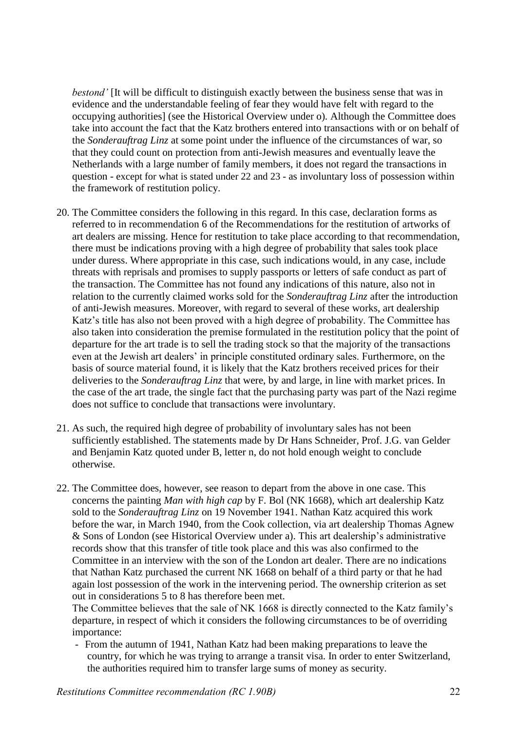*bestond'* [It will be difficult to distinguish exactly between the business sense that was in evidence and the understandable feeling of fear they would have felt with regard to the occupying authorities] (see the Historical Overview under o)*.* Although the Committee does take into account the fact that the Katz brothers entered into transactions with or on behalf of the *Sonderauftrag Linz* at some point under the influence of the circumstances of war, so that they could count on protection from anti-Jewish measures and eventually leave the Netherlands with a large number of family members, it does not regard the transactions in question - except for what is stated under 22 and 23 - as involuntary loss of possession within the framework of restitution policy.

- 20. The Committee considers the following in this regard. In this case, declaration forms as referred to in recommendation 6 of the Recommendations for the restitution of artworks of art dealers are missing. Hence for restitution to take place according to that recommendation, there must be indications proving with a high degree of probability that sales took place under duress. Where appropriate in this case, such indications would, in any case, include threats with reprisals and promises to supply passports or letters of safe conduct as part of the transaction. The Committee has not found any indications of this nature, also not in relation to the currently claimed works sold for the *Sonderauftrag Linz* after the introduction of anti-Jewish measures. Moreover, with regard to several of these works, art dealership Katz's title has also not been proved with a high degree of probability. The Committee has also taken into consideration the premise formulated in the restitution policy that the point of departure for the art trade is to sell the trading stock so that the majority of the transactions even at the Jewish art dealers' in principle constituted ordinary sales. Furthermore, on the basis of source material found, it is likely that the Katz brothers received prices for their deliveries to the *Sonderauftrag Linz* that were, by and large, in line with market prices. In the case of the art trade, the single fact that the purchasing party was part of the Nazi regime does not suffice to conclude that transactions were involuntary.
- 21. As such, the required high degree of probability of involuntary sales has not been sufficiently established. The statements made by Dr Hans Schneider, Prof. J.G. van Gelder and Benjamin Katz quoted under B, letter n, do not hold enough weight to conclude otherwise.
- 22. The Committee does, however, see reason to depart from the above in one case. This concerns the painting *Man with high cap* by F. Bol (NK 1668), which art dealership Katz sold to the *Sonderauftrag Linz* on 19 November 1941. Nathan Katz acquired this work before the war, in March 1940, from the Cook collection, via art dealership Thomas Agnew & Sons of London (see Historical Overview under a). This art dealership's administrative records show that this transfer of title took place and this was also confirmed to the Committee in an interview with the son of the London art dealer. There are no indications that Nathan Katz purchased the current NK 1668 on behalf of a third party or that he had again lost possession of the work in the intervening period. The ownership criterion as set out in considerations 5 to 8 has therefore been met.

The Committee believes that the sale of NK 1668 is directly connected to the Katz family's departure, in respect of which it considers the following circumstances to be of overriding importance:

- From the autumn of 1941, Nathan Katz had been making preparations to leave the country, for which he was trying to arrange a transit visa. In order to enter Switzerland, the authorities required him to transfer large sums of money as security.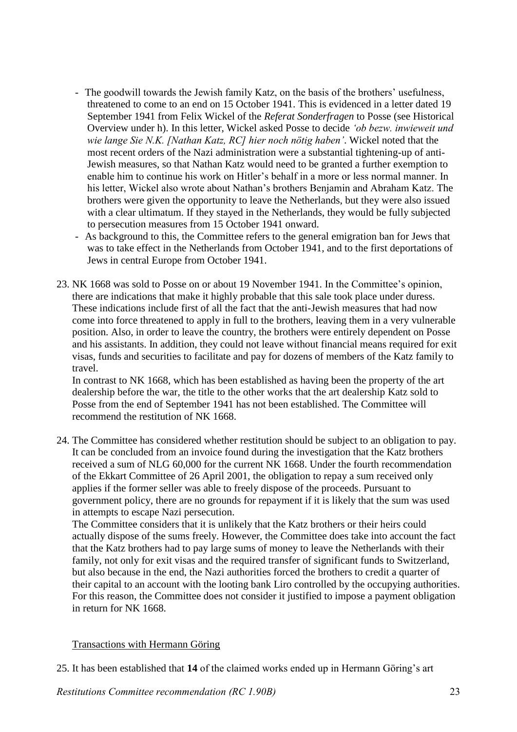- The goodwill towards the Jewish family Katz, on the basis of the brothers' usefulness, threatened to come to an end on 15 October 1941. This is evidenced in a letter dated 19 September 1941 from Felix Wickel of the *Referat Sonderfragen* to Posse (see Historical Overview under h). In this letter, Wickel asked Posse to decide *'ob bezw. inwieweit und wie lange Sie N.K. [Nathan Katz, RC] hier noch nötig haben'*. Wickel noted that the most recent orders of the Nazi administration were a substantial tightening-up of anti-Jewish measures, so that Nathan Katz would need to be granted a further exemption to enable him to continue his work on Hitler's behalf in a more or less normal manner. In his letter, Wickel also wrote about Nathan's brothers Benjamin and Abraham Katz. The brothers were given the opportunity to leave the Netherlands, but they were also issued with a clear ultimatum. If they stayed in the Netherlands, they would be fully subjected to persecution measures from 15 October 1941 onward.
- As background to this, the Committee refers to the general emigration ban for Jews that was to take effect in the Netherlands from October 1941, and to the first deportations of Jews in central Europe from October 1941.
- 23. NK 1668 was sold to Posse on or about 19 November 1941. In the Committee's opinion, there are indications that make it highly probable that this sale took place under duress. These indications include first of all the fact that the anti-Jewish measures that had now come into force threatened to apply in full to the brothers, leaving them in a very vulnerable position. Also, in order to leave the country, the brothers were entirely dependent on Posse and his assistants. In addition, they could not leave without financial means required for exit visas, funds and securities to facilitate and pay for dozens of members of the Katz family to travel.

In contrast to NK 1668, which has been established as having been the property of the art dealership before the war, the title to the other works that the art dealership Katz sold to Posse from the end of September 1941 has not been established. The Committee will recommend the restitution of NK 1668.

24. The Committee has considered whether restitution should be subject to an obligation to pay. It can be concluded from an invoice found during the investigation that the Katz brothers received a sum of NLG 60,000 for the current NK 1668. Under the fourth recommendation of the Ekkart Committee of 26 April 2001, the obligation to repay a sum received only applies if the former seller was able to freely dispose of the proceeds. Pursuant to government policy, there are no grounds for repayment if it is likely that the sum was used in attempts to escape Nazi persecution.

The Committee considers that it is unlikely that the Katz brothers or their heirs could actually dispose of the sums freely. However, the Committee does take into account the fact that the Katz brothers had to pay large sums of money to leave the Netherlands with their family, not only for exit visas and the required transfer of significant funds to Switzerland, but also because in the end, the Nazi authorities forced the brothers to credit a quarter of their capital to an account with the looting bank Liro controlled by the occupying authorities. For this reason, the Committee does not consider it justified to impose a payment obligation in return for NK 1668.

## Transactions with Hermann Göring

25. It has been established that **14** of the claimed works ended up in Hermann Göring's art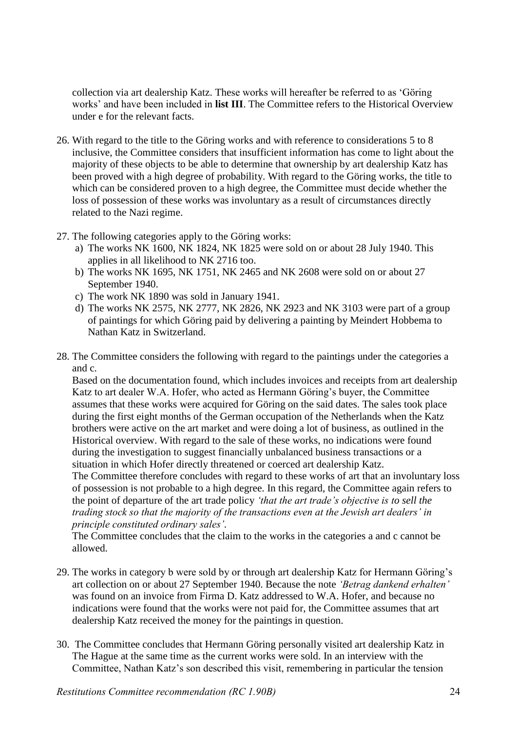collection via art dealership Katz. These works will hereafter be referred to as 'Göring works' and have been included in **list III**. The Committee refers to the Historical Overview under e for the relevant facts.

- 26. With regard to the title to the Göring works and with reference to considerations 5 to 8 inclusive, the Committee considers that insufficient information has come to light about the majority of these objects to be able to determine that ownership by art dealership Katz has been proved with a high degree of probability. With regard to the Göring works, the title to which can be considered proven to a high degree, the Committee must decide whether the loss of possession of these works was involuntary as a result of circumstances directly related to the Nazi regime.
- 27. The following categories apply to the Göring works:
	- a) The works NK 1600, NK 1824, NK 1825 were sold on or about 28 July 1940. This applies in all likelihood to NK 2716 too.
	- b) The works NK 1695, NK 1751, NK 2465 and NK 2608 were sold on or about 27 September 1940.
	- c) The work NK 1890 was sold in January 1941.
	- d) The works NK 2575, NK 2777, NK 2826, NK 2923 and NK 3103 were part of a group of paintings for which Göring paid by delivering a painting by Meindert Hobbema to Nathan Katz in Switzerland.
- 28. The Committee considers the following with regard to the paintings under the categories a and c.

Based on the documentation found, which includes invoices and receipts from art dealership Katz to art dealer W.A. Hofer, who acted as Hermann Göring's buyer, the Committee assumes that these works were acquired for Göring on the said dates. The sales took place during the first eight months of the German occupation of the Netherlands when the Katz brothers were active on the art market and were doing a lot of business, as outlined in the Historical overview. With regard to the sale of these works, no indications were found during the investigation to suggest financially unbalanced business transactions or a situation in which Hofer directly threatened or coerced art dealership Katz.

The Committee therefore concludes with regard to these works of art that an involuntary loss of possession is not probable to a high degree. In this regard, the Committee again refers to the point of departure of the art trade policy *'that the art trade's objective is to sell the trading stock so that the majority of the transactions even at the Jewish art dealers' in principle constituted ordinary sales'*.

The Committee concludes that the claim to the works in the categories a and c cannot be allowed.

- 29. The works in category b were sold by or through art dealership Katz for Hermann Göring's art collection on or about 27 September 1940. Because the note *'Betrag dankend erhalten'*  was found on an invoice from Firma D. Katz addressed to W.A. Hofer, and because no indications were found that the works were not paid for, the Committee assumes that art dealership Katz received the money for the paintings in question.
- 30. The Committee concludes that Hermann Göring personally visited art dealership Katz in The Hague at the same time as the current works were sold. In an interview with the Committee, Nathan Katz's son described this visit, remembering in particular the tension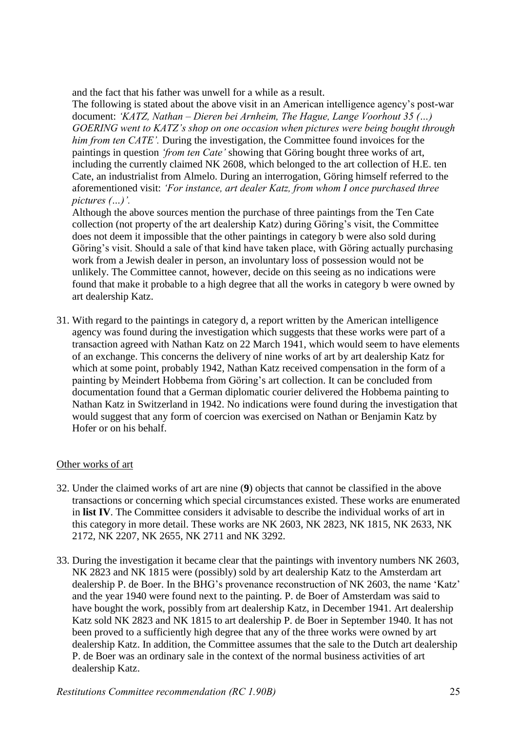and the fact that his father was unwell for a while as a result.

The following is stated about the above visit in an American intelligence agency's post-war document: *'KATZ, Nathan – Dieren bei Arnheim, The Hague, Lange Voorhout 35 (…) GOERING went to KATZ's shop on one occasion when pictures were being bought through him from ten CATE'.* During the investigation, the Committee found invoices for the paintings in question *'from ten Cate'* showing that Göring bought three works of art, including the currently claimed NK 2608, which belonged to the art collection of H.E. ten Cate, an industrialist from Almelo. During an interrogation, Göring himself referred to the aforementioned visit: *'For instance, art dealer Katz, from whom I once purchased three pictures (…)'.* 

Although the above sources mention the purchase of three paintings from the Ten Cate collection (not property of the art dealership Katz) during Göring's visit, the Committee does not deem it impossible that the other paintings in category b were also sold during Göring's visit. Should a sale of that kind have taken place, with Göring actually purchasing work from a Jewish dealer in person, an involuntary loss of possession would not be unlikely. The Committee cannot, however, decide on this seeing as no indications were found that make it probable to a high degree that all the works in category b were owned by art dealership Katz.

31. With regard to the paintings in category d, a report written by the American intelligence agency was found during the investigation which suggests that these works were part of a transaction agreed with Nathan Katz on 22 March 1941, which would seem to have elements of an exchange. This concerns the delivery of nine works of art by art dealership Katz for which at some point, probably 1942, Nathan Katz received compensation in the form of a painting by Meindert Hobbema from Göring's art collection. It can be concluded from documentation found that a German diplomatic courier delivered the Hobbema painting to Nathan Katz in Switzerland in 1942. No indications were found during the investigation that would suggest that any form of coercion was exercised on Nathan or Benjamin Katz by Hofer or on his behalf.

## Other works of art

- 32. Under the claimed works of art are nine (**9**) objects that cannot be classified in the above transactions or concerning which special circumstances existed. These works are enumerated in **list IV**. The Committee considers it advisable to describe the individual works of art in this category in more detail. These works are NK 2603, NK 2823, NK 1815, NK 2633, NK 2172, NK 2207, NK 2655, NK 2711 and NK 3292.
- 33. During the investigation it became clear that the paintings with inventory numbers NK 2603, NK 2823 and NK 1815 were (possibly) sold by art dealership Katz to the Amsterdam art dealership P. de Boer. In the BHG's provenance reconstruction of NK 2603, the name 'Katz' and the year 1940 were found next to the painting. P. de Boer of Amsterdam was said to have bought the work, possibly from art dealership Katz, in December 1941. Art dealership Katz sold NK 2823 and NK 1815 to art dealership P. de Boer in September 1940. It has not been proved to a sufficiently high degree that any of the three works were owned by art dealership Katz. In addition, the Committee assumes that the sale to the Dutch art dealership P. de Boer was an ordinary sale in the context of the normal business activities of art dealership Katz.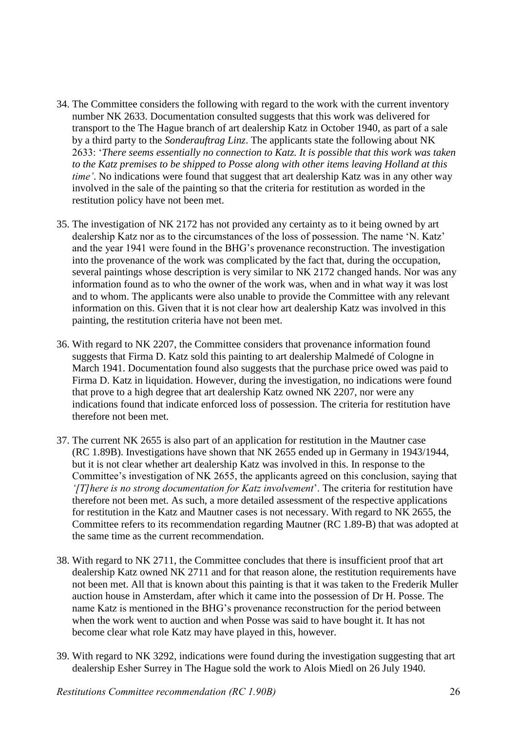- 34. The Committee considers the following with regard to the work with the current inventory number NK 2633. Documentation consulted suggests that this work was delivered for transport to the The Hague branch of art dealership Katz in October 1940, as part of a sale by a third party to the *Sonderauftrag Linz*. The applicants state the following about NK 2633: '*There seems essentially no connection to Katz. It is possible that this work was taken to the Katz premises to be shipped to Posse along with other items leaving Holland at this time'*. No indications were found that suggest that art dealership Katz was in any other way involved in the sale of the painting so that the criteria for restitution as worded in the restitution policy have not been met.
- 35. The investigation of NK 2172 has not provided any certainty as to it being owned by art dealership Katz nor as to the circumstances of the loss of possession. The name 'N. Katz' and the year 1941 were found in the BHG's provenance reconstruction. The investigation into the provenance of the work was complicated by the fact that, during the occupation, several paintings whose description is very similar to NK 2172 changed hands. Nor was any information found as to who the owner of the work was, when and in what way it was lost and to whom. The applicants were also unable to provide the Committee with any relevant information on this. Given that it is not clear how art dealership Katz was involved in this painting, the restitution criteria have not been met.
- 36. With regard to NK 2207, the Committee considers that provenance information found suggests that Firma D. Katz sold this painting to art dealership Malmedé of Cologne in March 1941. Documentation found also suggests that the purchase price owed was paid to Firma D. Katz in liquidation. However, during the investigation, no indications were found that prove to a high degree that art dealership Katz owned NK 2207, nor were any indications found that indicate enforced loss of possession. The criteria for restitution have therefore not been met.
- 37. The current NK 2655 is also part of an application for restitution in the Mautner case (RC 1.89B). Investigations have shown that NK 2655 ended up in Germany in 1943/1944, but it is not clear whether art dealership Katz was involved in this. In response to the Committee's investigation of NK 2655, the applicants agreed on this conclusion, saying that *'[T]here is no strong documentation for Katz involvement*'. The criteria for restitution have therefore not been met. As such, a more detailed assessment of the respective applications for restitution in the Katz and Mautner cases is not necessary. With regard to NK 2655, the Committee refers to its recommendation regarding Mautner (RC 1.89-B) that was adopted at the same time as the current recommendation.
- 38. With regard to NK 2711, the Committee concludes that there is insufficient proof that art dealership Katz owned NK 2711 and for that reason alone, the restitution requirements have not been met. All that is known about this painting is that it was taken to the Frederik Muller auction house in Amsterdam, after which it came into the possession of Dr H. Posse. The name Katz is mentioned in the BHG's provenance reconstruction for the period between when the work went to auction and when Posse was said to have bought it. It has not become clear what role Katz may have played in this, however.
- 39. With regard to NK 3292, indications were found during the investigation suggesting that art dealership Esher Surrey in The Hague sold the work to Alois Miedl on 26 July 1940.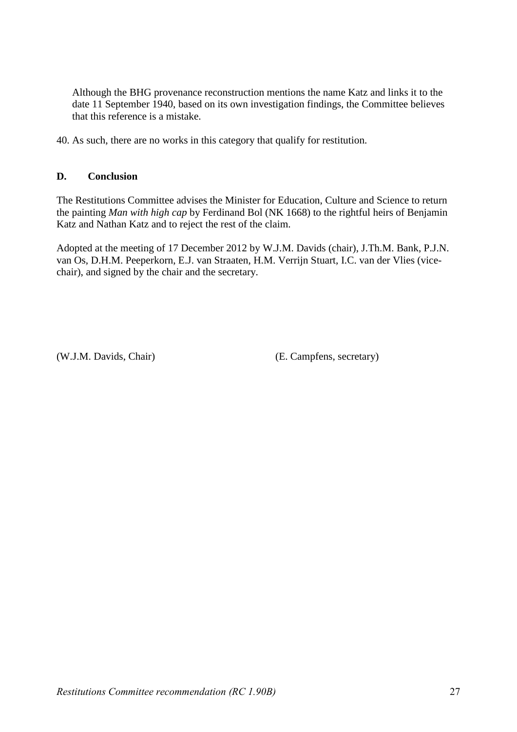Although the BHG provenance reconstruction mentions the name Katz and links it to the date 11 September 1940, based on its own investigation findings, the Committee believes that this reference is a mistake.

40. As such, there are no works in this category that qualify for restitution.

## **D. Conclusion**

The Restitutions Committee advises the Minister for Education, Culture and Science to return the painting *Man with high cap* by Ferdinand Bol (NK 1668) to the rightful heirs of Benjamin Katz and Nathan Katz and to reject the rest of the claim.

Adopted at the meeting of 17 December 2012 by W.J.M. Davids (chair), J.Th.M. Bank, P.J.N. van Os, D.H.M. Peeperkorn, E.J. van Straaten, H.M. Verrijn Stuart, I.C. van der Vlies (vicechair), and signed by the chair and the secretary.

(W.J.M. Davids, Chair) (E. Campfens, secretary)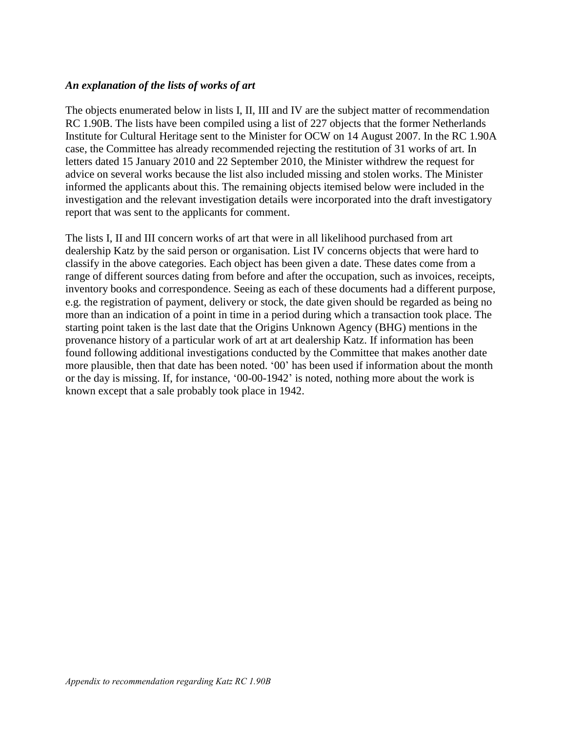### *An explanation of the lists of works of art*

The objects enumerated below in lists I, II, III and IV are the subject matter of recommendation RC 1.90B. The lists have been compiled using a list of 227 objects that the former Netherlands Institute for Cultural Heritage sent to the Minister for OCW on 14 August 2007. In the RC 1.90A case, the Committee has already recommended rejecting the restitution of 31 works of art. In letters dated 15 January 2010 and 22 September 2010, the Minister withdrew the request for advice on several works because the list also included missing and stolen works. The Minister informed the applicants about this. The remaining objects itemised below were included in the investigation and the relevant investigation details were incorporated into the draft investigatory report that was sent to the applicants for comment.

The lists I, II and III concern works of art that were in all likelihood purchased from art dealership Katz by the said person or organisation. List IV concerns objects that were hard to classify in the above categories. Each object has been given a date. These dates come from a range of different sources dating from before and after the occupation, such as invoices, receipts, inventory books and correspondence. Seeing as each of these documents had a different purpose, e.g. the registration of payment, delivery or stock, the date given should be regarded as being no more than an indication of a point in time in a period during which a transaction took place. The starting point taken is the last date that the Origins Unknown Agency (BHG) mentions in the provenance history of a particular work of art at art dealership Katz. If information has been found following additional investigations conducted by the Committee that makes another date more plausible, then that date has been noted. '00' has been used if information about the month or the day is missing. If, for instance, '00-00-1942' is noted, nothing more about the work is known except that a sale probably took place in 1942.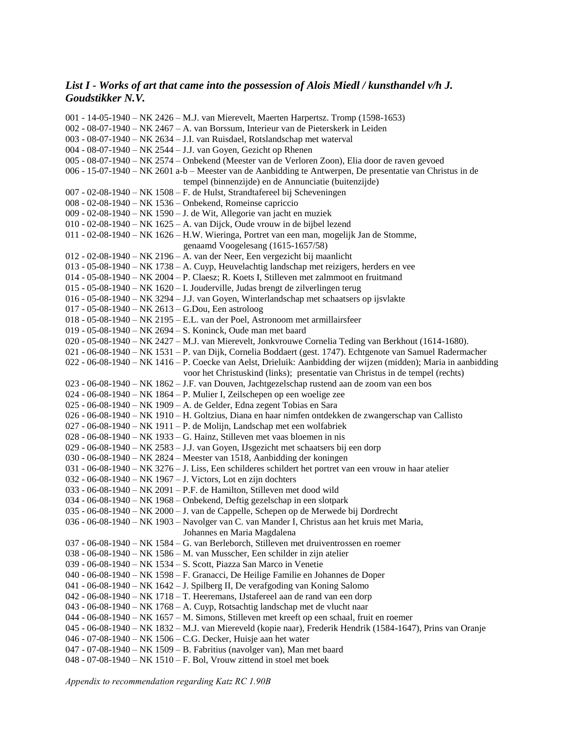### *List I - Works of art that came into the possession of Alois Miedl / kunsthandel v/h J. Goudstikker N.V.*

001 - 14-05-1940 – NK 2426 – M.J. van Mierevelt, Maerten Harpertsz. Tromp (1598-1653) 002 - 08-07-1940 – NK 2467 – A. van Borssum, Interieur van de Pieterskerk in Leiden 003 - 08-07-1940 – NK 2634 – J.I. van Ruisdael, Rotslandschap met waterval 004 - 08-07-1940 – NK 2544 – J.J. van Goyen, Gezicht op Rhenen 005 - 08-07-1940 – NK 2574 – Onbekend (Meester van de Verloren Zoon), Elia door de raven gevoed 006 - 15-07-1940 – NK 2601 a-b – Meester van de Aanbidding te Antwerpen, De presentatie van Christus in de tempel (binnenzijde) en de Annunciatie (buitenzijde) 007 - 02-08-1940 – NK 1508 – F. de Hulst, Strandtafereel bij Scheveningen 008 - 02-08-1940 – NK 1536 – Onbekend, Romeinse capriccio 009 - 02-08-1940 – NK 1590 – J. de Wit, Allegorie van jacht en muziek 010 - 02-08-1940 – NK 1625 – A. van Dijck, Oude vrouw in de bijbel lezend 011 - 02-08-1940 – NK 1626 – H.W. Wieringa, Portret van een man, mogelijk Jan de Stomme, genaamd Voogelesang (1615-1657/58) 012 - 02-08-1940 – NK 2196 – A. van der Neer, Een vergezicht bij maanlicht 013 - 05-08-1940 – NK 1738 – A. Cuyp, Heuvelachtig landschap met reizigers, herders en vee 014 - 05-08-1940 – NK 2004 – P. Claesz; R. Koets I, Stilleven met zalmmoot en fruitmand 015 - 05-08-1940 – NK 1620 – I. Jouderville, Judas brengt de zilverlingen terug 016 - 05-08-1940 – NK 3294 – J.J. van Goyen, Winterlandschap met schaatsers op ijsvlakte 017 - 05-08-1940 – NK 2613 – G.Dou, Een astroloog 018 - 05-08-1940 – NK 2195 – E.L. van der Poel, Astronoom met armillairsfeer 019 - 05-08-1940 – NK 2694 – S. Koninck, Oude man met baard 020 - 05-08-1940 – NK 2427 – M.J. van Mierevelt, Jonkvrouwe Cornelia Teding van Berkhout (1614-1680). 021 - 06-08-1940 – NK 1531 – P. van Dijk, Cornelia Boddaert (gest. 1747). Echtgenote van Samuel Radermacher 022 - 06-08-1940 – NK 1416 – P. Coecke van Aelst, Drieluik: Aanbidding der wijzen (midden); Maria in aanbidding voor het Christuskind (links); presentatie van Christus in de tempel (rechts) 023 - 06-08-1940 – NK 1862 – J.F. van Douven, Jachtgezelschap rustend aan de zoom van een bos 024 - 06-08-1940 – NK 1864 – P. Mulier I, Zeilschepen op een woelige zee 025 - 06-08-1940 – NK 1909 – A. de Gelder, Edna zegent Tobias en Sara 026 - 06-08-1940 – NK 1910 – H. Goltzius, Diana en haar nimfen ontdekken de zwangerschap van Callisto 027 - 06-08-1940 – NK 1911 – P. de Molijn, Landschap met een wolfabriek 028 - 06-08-1940 – NK 1933 – G. Hainz, Stilleven met vaas bloemen in nis 029 - 06-08-1940 – NK 2583 – J.J. van Goyen, IJsgezicht met schaatsers bij een dorp 030 - 06-08-1940 – NK 2824 – Meester van 1518, Aanbidding der koningen 031 - 06-08-1940 – NK 3276 – J. Liss, Een schilderes schildert het portret van een vrouw in haar atelier 032 - 06-08-1940 – NK 1967 – J. Victors, Lot en zijn dochters 033 - 06-08-1940 – NK 2091 – P.F. de Hamilton, Stilleven met dood wild 034 - 06-08-1940 – NK 1968 – Onbekend, Deftig gezelschap in een slotpark 035 - 06-08-1940 – NK 2000 – J. van de Cappelle, Schepen op de Merwede bij Dordrecht 036 - 06-08-1940 – NK 1903 – Navolger van C. van Mander I, Christus aan het kruis met Maria, Johannes en Maria Magdalena 037 - 06-08-1940 – NK 1584 – G. van Berleborch, Stilleven met druiventrossen en roemer 038 - 06-08-1940 – NK 1586 – M. van Musscher, Een schilder in zijn atelier 039 - 06-08-1940 – NK 1534 – S. Scott, Piazza San Marco in Venetie 040 - 06-08-1940 – NK 1598 – F. Granacci, De Heilige Familie en Johannes de Doper 041 - 06-08-1940 – NK 1642 – J. Spilberg II, De verafgoding van Koning Salomo 042 - 06-08-1940 – NK 1718 – T. Heeremans, IJstafereel aan de rand van een dorp 043 - 06-08-1940 – NK 1768 – A. Cuyp, Rotsachtig landschap met de vlucht naar 044 - 06-08-1940 – NK 1657 – M. Simons, Stilleven met kreeft op een schaal, fruit en roemer 045 - 06-08-1940 – NK 1832 – M.J. van Miereveld (kopie naar), Frederik Hendrik (1584-1647), Prins van Oranje 046 - 07-08-1940 – NK 1506 – C.G. Decker, Huisje aan het water 047 - 07-08-1940 – NK 1509 – B. Fabritius (navolger van), Man met baard 048 - 07-08-1940 – NK 1510 – F. Bol, Vrouw zittend in stoel met boek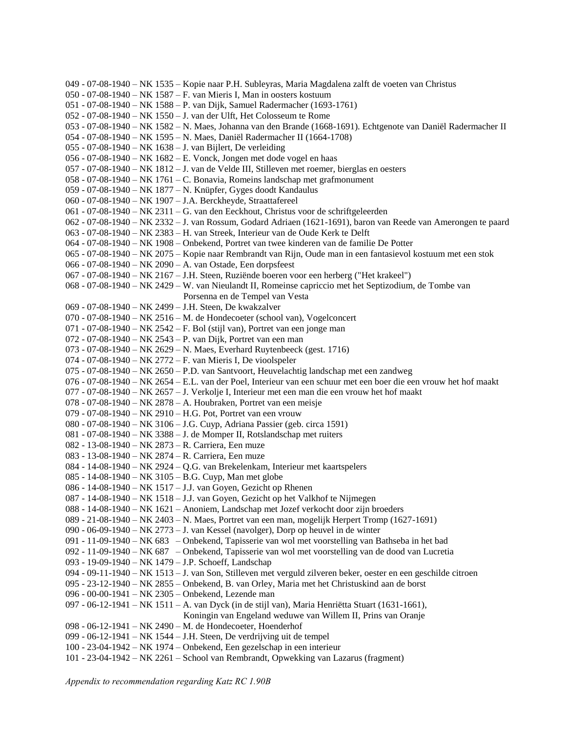049 - 07-08-1940 – NK 1535 – Kopie naar P.H. Subleyras, Maria Magdalena zalft de voeten van Christus 050 - 07-08-1940 – NK 1587 – F. van Mieris I, Man in oosters kostuum 051 - 07-08-1940 – NK 1588 – P. van Dijk, Samuel Radermacher (1693-1761) 052 - 07-08-1940 – NK 1550 – J. van der Ulft, Het Colosseum te Rome 053 - 07-08-1940 – NK 1582 – N. Maes, Johanna van den Brande (1668-1691). Echtgenote van Daniël Radermacher II 054 - 07-08-1940 – NK 1595 – N. Maes, Daniël Radermacher II (1664-1708) 055 - 07-08-1940 – NK 1638 – J. van Bijlert, De verleiding 056 - 07-08-1940 – NK 1682 – E. Vonck, Jongen met dode vogel en haas 057 - 07-08-1940 – NK 1812 – J. van de Velde III, Stilleven met roemer, bierglas en oesters 058 - 07-08-1940 – NK 1761 – C. Bonavia, Romeins landschap met grafmonument 059 - 07-08-1940 – NK 1877 – N. Knüpfer, Gyges doodt Kandaulus 060 - 07-08-1940 – NK 1907 – J.A. Berckheyde, Straattafereel 061 - 07-08-1940 – NK 2311 – G. van den Eeckhout, Christus voor de schriftgeleerden 062 - 07-08-1940 – NK 2332 – J. van Rossum, Godard Adriaen (1621-1691), baron van Reede van Amerongen te paard 063 - 07-08-1940 – NK 2383 – H. van Streek, Interieur van de Oude Kerk te Delft 064 - 07-08-1940 – NK 1908 – Onbekend, Portret van twee kinderen van de familie De Potter 065 - 07-08-1940 – NK 2075 – Kopie naar Rembrandt van Rijn, Oude man in een fantasievol kostuum met een stok 066 - 07-08-1940 – NK 2090 – A. van Ostade, Een dorpsfeest 067 - 07-08-1940 – NK 2167 – J.H. Steen, Ruziënde boeren voor een herberg ("Het krakeel") 068 - 07-08-1940 – NK 2429 – W. van Nieulandt II, Romeinse capriccio met het Septizodium, de Tombe van Porsenna en de Tempel van Vesta 069 - 07-08-1940 – NK 2499 – J.H. Steen, De kwakzalver 070 - 07-08-1940 – NK 2516 – M. de Hondecoeter (school van), Vogelconcert 071 - 07-08-1940 – NK 2542 – F. Bol (stijl van), Portret van een jonge man 072 - 07-08-1940 – NK 2543 – P. van Dijk, Portret van een man 073 - 07-08-1940 – NK 2629 – N. Maes, Everhard Ruytenbeeck (gest. 1716) 074 - 07-08-1940 – NK 2772 – F. van Mieris I, De vioolspeler 075 - 07-08-1940 – NK 2650 – P.D. van Santvoort, Heuvelachtig landschap met een zandweg 076 - 07-08-1940 – NK 2654 – E.L. van der Poel, Interieur van een schuur met een boer die een vrouw het hof maakt 077 - 07-08-1940 – NK 2657 – J. Verkolje I, Interieur met een man die een vrouw het hof maakt 078 - 07-08-1940 – NK 2878 – A. Houbraken, Portret van een meisje 079 - 07-08-1940 – NK 2910 – H.G. Pot, Portret van een vrouw 080 - 07-08-1940 – NK 3106 – J.G. Cuyp, Adriana Passier (geb. circa 1591) 081 - 07-08-1940 – NK 3388 – J. de Momper II, Rotslandschap met ruiters 082 - 13-08-1940 – NK 2873 – R. Carriera, Een muze 083 - 13-08-1940 – NK 2874 – R. Carriera, Een muze 084 - 14-08-1940 – NK 2924 – Q.G. van Brekelenkam, Interieur met kaartspelers 085 - 14-08-1940 – NK 3105 – B.G. Cuyp, Man met globe 086 - 14-08-1940 – NK 1517 – J.J. van Goyen, Gezicht op Rhenen 087 - 14-08-1940 – NK 1518 – J.J. van Goyen, Gezicht op het Valkhof te Nijmegen 088 - 14-08-1940 – NK 1621 – Anoniem, Landschap met Jozef verkocht door zijn broeders 089 - 21-08-1940 – NK 2403 – N. Maes, Portret van een man, mogelijk Herpert Tromp (1627-1691) 090 - 06-09-1940 – NK 2773 – J. van Kessel (navolger), Dorp op heuvel in de winter 091 - 11-09-1940 – NK 683 – Onbekend, Tapisserie van wol met voorstelling van Bathseba in het bad 092 - 11-09-1940 – NK 687 – Onbekend, Tapisserie van wol met voorstelling van de dood van Lucretia 093 - 19-09-1940 – NK 1479 – J.P. Schoeff, Landschap 094 - 09-11-1940 – NK 1513 – J. van Son, Stilleven met verguld zilveren beker, oester en een geschilde citroen 095 - 23-12-1940 – NK 2855 – Onbekend, B. van Orley, Maria met het Christuskind aan de borst 096 - 00-00-1941 – NK 2305 – Onbekend, Lezende man 097 - 06-12-1941 – NK 1511 – A. van Dyck (in de stijl van), Maria Henriëtta Stuart (1631-1661), Koningin van Engeland weduwe van Willem II, Prins van Oranje 098 - 06-12-1941 – NK 2490 – M. de Hondecoeter, Hoenderhof 099 - 06-12-1941 – NK 1544 – J.H. Steen, De verdrijving uit de tempel 100 - 23-04-1942 – NK 1974 – Onbekend, Een gezelschap in een interieur 101 - 23-04-1942 – NK 2261 – School van Rembrandt, Opwekking van Lazarus (fragment)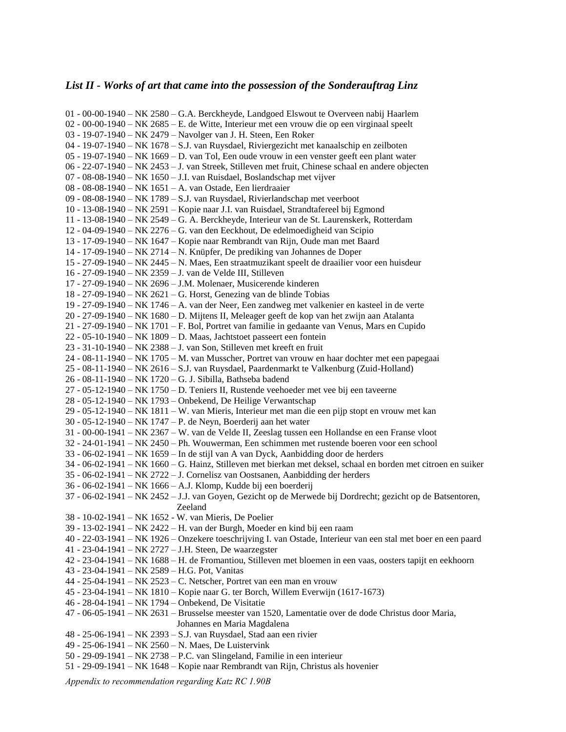#### *List II - Works of art that came into the possession of the Sonderauftrag Linz*

01 - 00-00-1940 – NK 2580 – G.A. Berckheyde, Landgoed Elswout te Overveen nabij Haarlem 02 - 00-00-1940 – NK 2685 – E. de Witte, Interieur met een vrouw die op een virginaal speelt 03 - 19-07-1940 – NK 2479 – Navolger van J. H. Steen, Een Roker 04 - 19-07-1940 – NK 1678 – S.J. van Ruysdael, Riviergezicht met kanaalschip en zeilboten 05 - 19-07-1940 – NK 1669 – D. van Tol, Een oude vrouw in een venster geeft een plant water 06 - 22-07-1940 – NK 2453 – J. van Streek, Stilleven met fruit, Chinese schaal en andere objecten 07 - 08-08-1940 – NK 1650 – J.I. van Ruisdael, Boslandschap met vijver 08 - 08-08-1940 – NK 1651 – A. van Ostade, Een lierdraaier 09 - 08-08-1940 – NK 1789 – S.J. van Ruysdael, Rivierlandschap met veerboot 10 - 13-08-1940 – NK 2591 – Kopie naar J.I. van Ruisdael, Strandtafereel bij Egmond 11 - 13-08-1940 – NK 2549 – G. A. Berckheyde, Interieur van de St. Laurenskerk, Rotterdam 12 - 04-09-1940 – NK 2276 – G. van den Eeckhout, De edelmoedigheid van Scipio 13 - 17-09-1940 – NK 1647 – Kopie naar Rembrandt van Rijn, Oude man met Baard 14 - 17-09-1940 – NK 2714 – N. Knüpfer, De prediking van Johannes de Doper 15 - 27-09-1940 – NK 2445 – N. Maes, Een straatmuzikant speelt de draailier voor een huisdeur 16 - 27-09-1940 – NK 2359 – J. van de Velde III, Stilleven 17 - 27-09-1940 – NK 2696 – J.M. Molenaer, Musicerende kinderen 18 - 27-09-1940 – NK 2621 – G. Horst, Genezing van de blinde Tobias 19 - 27-09-1940 – NK 1746 – A. van der Neer, Een zandweg met valkenier en kasteel in de verte 20 - 27-09-1940 – NK 1680 – D. Mijtens II, Meleager geeft de kop van het zwijn aan Atalanta 21 - 27-09-1940 – NK 1701 – F. Bol, Portret van familie in gedaante van Venus, Mars en Cupido 22 - 05-10-1940 – NK 1809 – D. Maas, Jachtstoet passeert een fontein 23 - 31-10-1940 – NK 2388 – J. van Son, Stilleven met kreeft en fruit 24 - 08-11-1940 – NK 1705 – M. van Musscher, Portret van vrouw en haar dochter met een papegaai 25 - 08-11-1940 – NK 2616 – S.J. van Ruysdael, Paardenmarkt te Valkenburg (Zuid-Holland) 26 - 08-11-1940 – NK 1720 – G. J. Sibilla, Bathseba badend 27 - 05-12-1940 – NK 1750 – D. Teniers II, Rustende veehoeder met vee bij een taveerne 28 - 05-12-1940 – NK 1793 – Onbekend, De Heilige Verwantschap 29 - 05-12-1940 – NK 1811 – W. van Mieris, Interieur met man die een pijp stopt en vrouw met kan 30 - 05-12-1940 – NK 1747 – P. de Neyn, Boerderij aan het water 31 - 00-00-1941 – NK 2367 – W. van de Velde II, Zeeslag tussen een Hollandse en een Franse vloot 32 - 24-01-1941 – NK 2450 – Ph. Wouwerman, Een schimmen met rustende boeren voor een school 33 - 06-02-1941 – NK 1659 – In de stijl van A van Dyck, Aanbidding door de herders 34 - 06-02-1941 – NK 1660 – G. Hainz, Stilleven met bierkan met deksel, schaal en borden met citroen en suiker 35 - 06-02-1941 – NK 2722 – J. Cornelisz van Oostsanen, Aanbidding der herders 36 - 06-02-1941 – NK 1666 – A.J. Klomp, Kudde bij een boerderij 37 - 06-02-1941 – NK 2452 – J.J. van Goyen, Gezicht op de Merwede bij Dordrecht; gezicht op de Batsentoren, Zeeland 38 - 10-02-1941 – NK 1652 - W. van Mieris, De Poelier 39 - 13-02-1941 – NK 2422 – H. van der Burgh, Moeder en kind bij een raam 40 - 22-03-1941 – NK 1926 – Onzekere toeschrijving I. van Ostade, Interieur van een stal met boer en een paard 41 - 23-04-1941 – NK 2727 – J.H. Steen, De waarzegster 42 - 23-04-1941 – NK 1688 – H. de Fromantiou, Stilleven met bloemen in een vaas, oosters tapijt en eekhoorn 43 - 23-04-1941 – NK 2589 – H.G. Pot, Vanitas 44 - 25-04-1941 – NK 2523 – C. Netscher, Portret van een man en vrouw 45 - 23-04-1941 – NK 1810 – Kopie naar G. ter Borch, Willem Everwijn (1617-1673) 46 - 28-04-1941 – NK 1794 – Onbekend, De Visitatie 47 - 06-05-1941 – NK 2631 – Brusselse meester van 1520, Lamentatie over de dode Christus door Maria, Johannes en Maria Magdalena 48 - 25-06-1941 – NK 2393 – S.J. van Ruysdael, Stad aan een rivier 49 - 25-06-1941 – NK 2560 – N. Maes, De Luistervink 50 - 29-09-1941 – NK 2738 – P.C. van Slingeland, Familie in een interieur 51 - 29-09-1941 – NK 1648 – Kopie naar Rembrandt van Rijn, Christus als hovenier

*Appendix to recommendation regarding Katz RC 1.90B*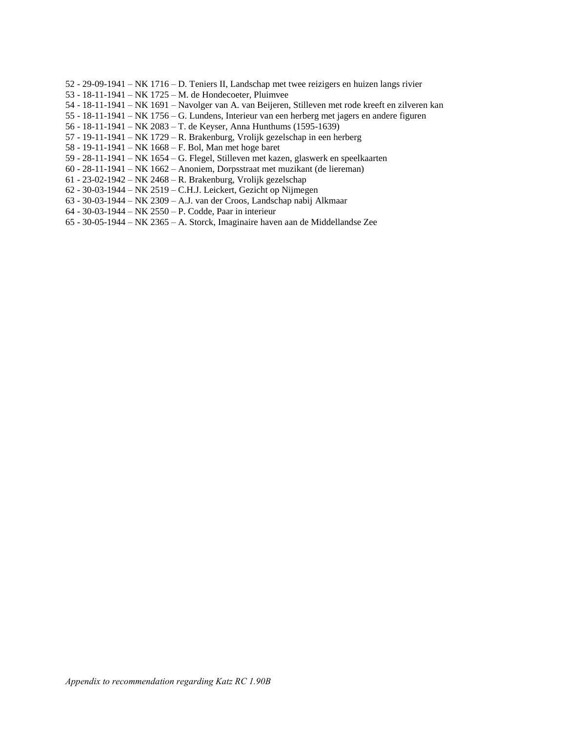- 52 29-09-1941 NK 1716 D. Teniers II, Landschap met twee reizigers en huizen langs rivier
- 53 18-11-1941 NK 1725 M. de Hondecoeter, Pluimvee
- 54 18-11-1941 NK 1691 Navolger van A. van Beijeren, Stilleven met rode kreeft en zilveren kan
- 55 18-11-1941 NK 1756 G. Lundens, Interieur van een herberg met jagers en andere figuren
- 56 18-11-1941 NK 2083 T. de Keyser, Anna Hunthums (1595-1639)
- 57 19-11-1941 NK 1729 R. Brakenburg, Vrolijk gezelschap in een herberg
- 58 19-11-1941 NK 1668 F. Bol, Man met hoge baret
- 59 28-11-1941 NK 1654 G. Flegel, Stilleven met kazen, glaswerk en speelkaarten
- 60 28-11-1941 NK 1662 Anoniem, Dorpsstraat met muzikant (de liereman)
- 61 23-02-1942 NK 2468 R. Brakenburg, Vrolijk gezelschap
- 62 30-03-1944 NK 2519 C.H.J. Leickert, Gezicht op Nijmegen
- 63 30-03-1944 NK 2309 A.J. van der Croos, Landschap nabij Alkmaar
- 64 30-03-1944 NK 2550 P. Codde, Paar in interieur
- 65 30-05-1944 NK 2365 A. Storck, Imaginaire haven aan de Middellandse Zee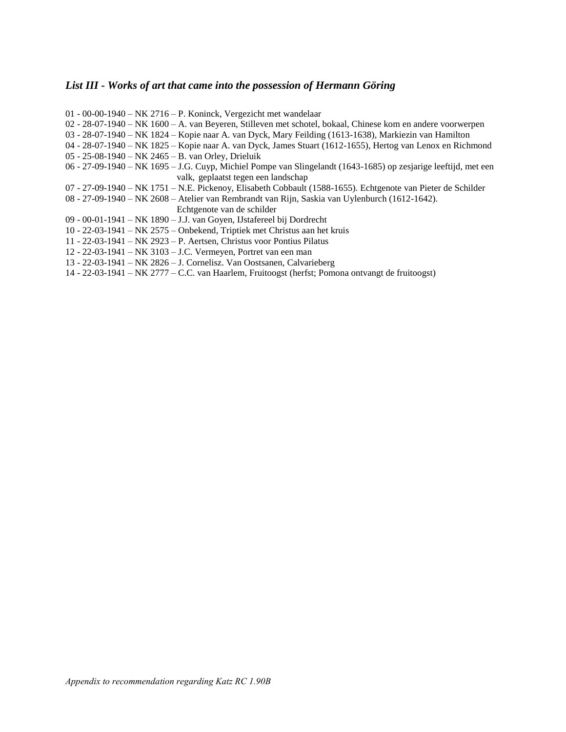## *List III - Works of art that came into the possession of Hermann Göring*

| $01 - 00 - 00 - 1940 - NK$ 2716 – P. Koninck, Vergezicht met wandelaar                                          |
|-----------------------------------------------------------------------------------------------------------------|
| 02 - 28-07-1940 – NK 1600 – A. van Beyeren, Stilleven met schotel, bokaal, Chinese kom en andere voorwerpen     |
| 03 - 28-07-1940 – NK 1824 – Kopie naar A. van Dyck, Mary Feilding (1613-1638), Markiezin van Hamilton           |
| 04 - 28-07-1940 – NK 1825 – Kopie naar A. van Dyck, James Stuart (1612-1655), Hertog van Lenox en Richmond      |
| 05 - 25-08-1940 – NK 2465 – B. van Orley, Drieluik                                                              |
| 06 - 27-09-1940 – NK 1695 – J.G. Cuyp, Michiel Pompe van Slingelandt (1643-1685) op zesjarige leeftijd, met een |
| valk, geplaatst tegen een landschap                                                                             |
| 07 - 27-09-1940 – NK 1751 – N.E. Pickenoy, Elisabeth Cobbault (1588-1655). Echtgenote van Pieter de Schilder    |
| 08 - 27-09-1940 – NK 2608 – Atelier van Rembrandt van Rijn, Saskia van Uylenburch (1612-1642).                  |
| Echtgenote van de schilder                                                                                      |
| 09 - 00-01-1941 – NK 1890 – J.J. van Goyen, IJstafereel bij Dordrecht                                           |
| 10 - 22-03-1941 – NK 2575 – Onbekend, Triptiek met Christus aan het kruis                                       |
| 11 - 22-03-1941 – NK 2923 – P. Aertsen, Christus voor Pontius Pilatus                                           |
| 12 - 22-03-1941 – NK 3103 – J.C. Vermeyen, Portret van een man                                                  |
| 13 - 22-03-1941 – NK 2826 – J. Cornelisz. Van Oostsanen, Calvarieberg                                           |
| 14 - 22-03-1941 – NK 2777 – C.C. van Haarlem, Fruitoogst (herfst; Pomona ontvangt de fruitoogst)                |
|                                                                                                                 |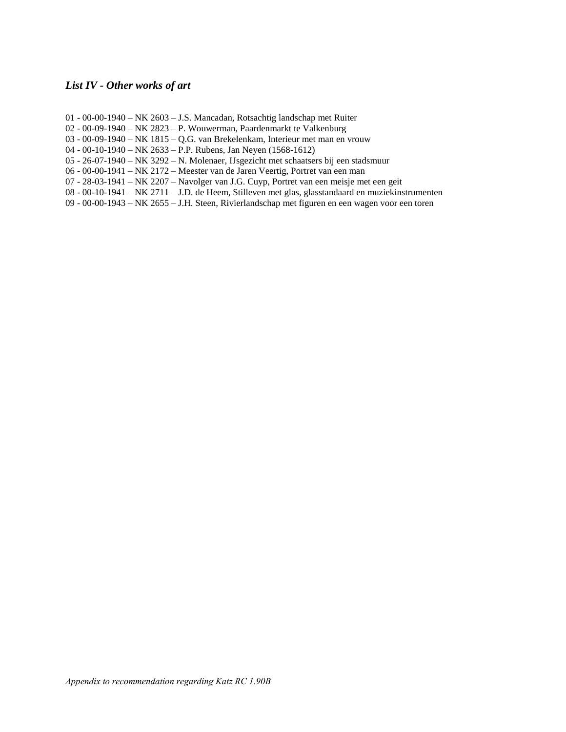#### *List IV - Other works of art*

- 01 00-00-1940 NK 2603 J.S. Mancadan, Rotsachtig landschap met Ruiter
- 02 00-09-1940 NK 2823 P. Wouwerman, Paardenmarkt te Valkenburg
- 03 00-09-1940 NK 1815 Q.G. van Brekelenkam, Interieur met man en vrouw
- 04 00-10-1940 NK 2633 P.P. Rubens, Jan Neyen (1568-1612)
- 05 26-07-1940 NK 3292 N. Molenaer, IJsgezicht met schaatsers bij een stadsmuur
- 06 00-00-1941 NK 2172 Meester van de Jaren Veertig, Portret van een man
- 07 28-03-1941 NK 2207 Navolger van J.G. Cuyp, Portret van een meisje met een geit
- 08 00-10-1941 NK 2711 J.D. de Heem, Stilleven met glas, glasstandaard en muziekinstrumenten
- 09 00-00-1943 NK 2655 J.H. Steen, Rivierlandschap met figuren en een wagen voor een toren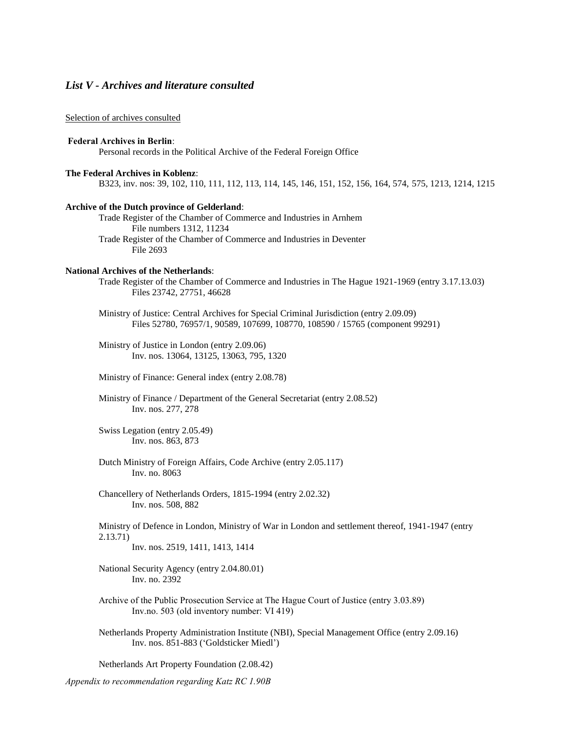#### *List V - Archives and literature consulted*

#### Selection of archives consulted

#### **Federal Archives in Berlin**:

Personal records in the Political Archive of the Federal Foreign Office

#### **The Federal Archives in Koblenz**:

B323, inv. nos: 39, 102, 110, 111, 112, 113, 114, 145, 146, 151, 152, 156, 164, 574, 575, 1213, 1214, 1215

#### **Archive of the Dutch province of Gelderland**:

Trade Register of the Chamber of Commerce and Industries in Arnhem File numbers 1312, 11234 Trade Register of the Chamber of Commerce and Industries in Deventer File 2693

#### **National Archives of the Netherlands**:

Trade Register of the Chamber of Commerce and Industries in The Hague 1921-1969 (entry 3.17.13.03) Files 23742, 27751, 46628

Ministry of Justice: Central Archives for Special Criminal Jurisdiction (entry 2.09.09) Files 52780, 76957/1, 90589, 107699, 108770, 108590 / 15765 (component 99291)

Ministry of Justice in London (entry 2.09.06) Inv. nos. 13064, 13125, 13063, 795, 1320

Ministry of Finance: General index (entry 2.08.78)

Ministry of Finance / Department of the General Secretariat (entry 2.08.52) Inv. nos. 277, 278

Swiss Legation (entry 2.05.49) Inv. nos. 863, 873

Dutch Ministry of Foreign Affairs, Code Archive (entry 2.05.117) Inv. no. 8063

Chancellery of Netherlands Orders, 1815-1994 (entry 2.02.32) Inv. nos. 508, 882

Ministry of Defence in London, Ministry of War in London and settlement thereof, 1941-1947 (entry 2.13.71)

Inv. nos. 2519, 1411, 1413, 1414

National Security Agency (entry 2.04.80.01) Inv. no. 2392

- Archive of the Public Prosecution Service at The Hague Court of Justice (entry 3.03.89) Inv.no. 503 (old inventory number: VI 419)
- Netherlands Property Administration Institute (NBI), Special Management Office (entry 2.09.16) Inv. nos. 851-883 ('Goldsticker Miedl')

Netherlands Art Property Foundation (2.08.42)

*Appendix to recommendation regarding Katz RC 1.90B*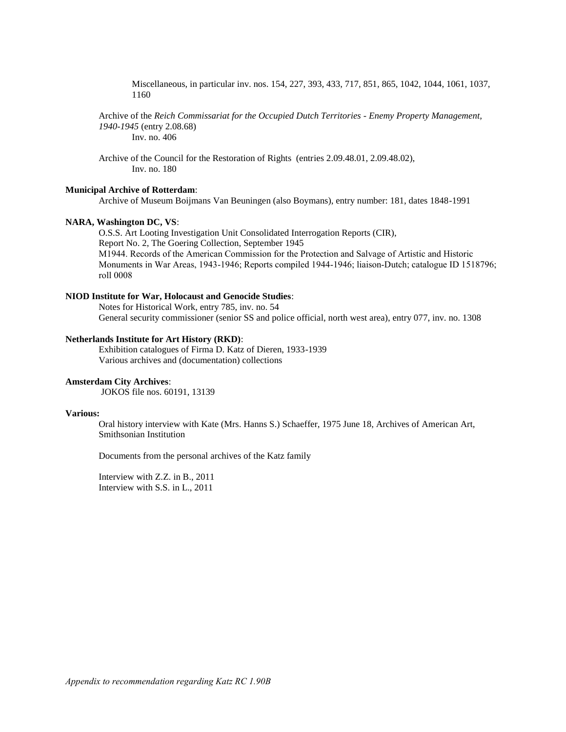Miscellaneous, in particular inv. nos. 154, 227, 393, 433, 717, 851, 865, 1042, 1044, 1061, 1037, 1160

Archive of the *Reich Commissariat for the Occupied Dutch Territories - Enemy Property Management, 1940-1945* (entry 2.08.68) Inv. no. 406

Archive of the Council for the Restoration of Rights (entries 2.09.48.01, 2.09.48.02), Inv. no. 180

#### **Municipal Archive of Rotterdam**:

Archive of Museum Boijmans Van Beuningen (also Boymans), entry number: 181, dates 1848-1991

#### **NARA, Washington DC, VS**:

O.S.S. Art Looting Investigation Unit Consolidated Interrogation Reports (CIR),

Report No. 2, The Goering Collection, September 1945

M1944. Records of the American Commission for the Protection and Salvage of Artistic and Historic Monuments in War Areas, 1943-1946; Reports compiled 1944-1946; liaison-Dutch; catalogue ID 1518796; roll 0008

#### **NIOD Institute for War, Holocaust and Genocide Studies**:

Notes for Historical Work, entry 785, inv. no. 54 General security commissioner (senior SS and police official, north west area), entry 077, inv. no. 1308

#### **Netherlands Institute for Art History (RKD)**:

Exhibition catalogues of Firma D. Katz of Dieren, 1933-1939 Various archives and (documentation) collections

#### **Amsterdam City Archives**:

JOKOS file nos. 60191, 13139

#### **Various:**

Oral history interview with Kate (Mrs. Hanns S.) Schaeffer, 1975 June 18, Archives of American Art, Smithsonian Institution

Documents from the personal archives of the Katz family

Interview with Z.Z. in B., 2011 Interview with S.S. in L., 2011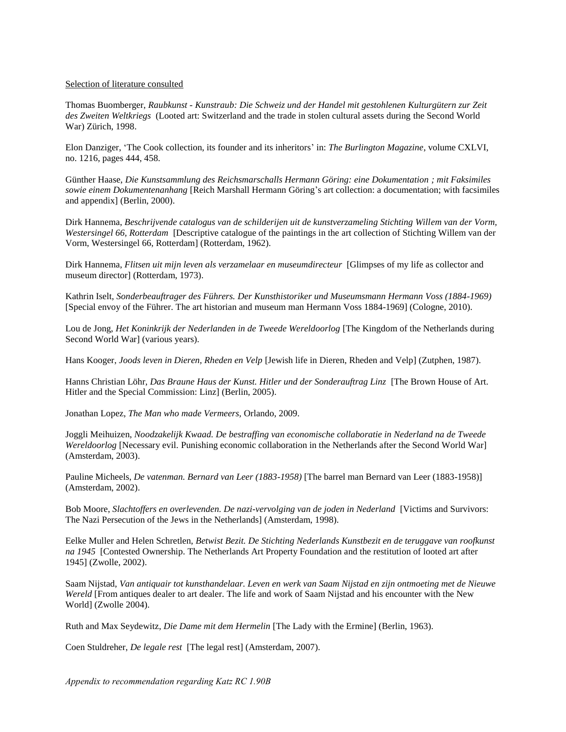#### Selection of literature consulted

Thomas Buomberger, *Raubkunst - Kunstraub: Die Schweiz und der Handel mit gestohlenen Kulturgütern zur Zeit des Zweiten Weltkriegs* (Looted art: Switzerland and the trade in stolen cultural assets during the Second World War) Zürich, 1998.

Elon Danziger, 'The Cook collection, its founder and its inheritors' in: *The Burlington Magazine*, volume CXLVI, no. 1216, pages 444, 458.

Günther Haase, *Die Kunstsammlung des Reichsmarschalls Hermann Göring: eine Dokumentation ; mit Faksimiles sowie einem Dokumentenanhang* [Reich Marshall Hermann Göring's art collection: a documentation; with facsimiles and appendix] (Berlin, 2000).

Dirk Hannema, *Beschrijvende catalogus van de schilderijen uit de kunstverzameling Stichting Willem van der Vorm, Westersingel 66, Rotterdam* [Descriptive catalogue of the paintings in the art collection of Stichting Willem van der Vorm, Westersingel 66, Rotterdam] (Rotterdam, 1962).

Dirk Hannema, *Flitsen uit mijn leven als verzamelaar en museumdirecteur* [Glimpses of my life as collector and museum director] (Rotterdam, 1973).

Kathrin Iselt, *Sonderbeauftrager des Führers. Der Kunsthistoriker und Museumsmann Hermann Voss (1884-1969)*  [Special envoy of the Führer. The art historian and museum man Hermann Voss 1884-1969] (Cologne, 2010).

Lou de Jong, *Het Koninkrijk der Nederlanden in de Tweede Wereldoorlog* [The Kingdom of the Netherlands during Second World War] (various years).

Hans Kooger, *Joods leven in Dieren, Rheden en Velp* [Jewish life in Dieren, Rheden and Velp] (Zutphen, 1987).

Hanns Christian Löhr, *Das Braune Haus der Kunst. Hitler und der Sonderauftrag Linz* [The Brown House of Art. Hitler and the Special Commission: Linz] (Berlin, 2005).

Jonathan Lopez, *The Man who made Vermeers,* Orlando, 2009.

Joggli Meihuizen, *Noodzakelijk Kwaad. De bestraffing van economische collaboratie in Nederland na de Tweede Wereldoorlog* [Necessary evil. Punishing economic collaboration in the Netherlands after the Second World War] (Amsterdam, 2003).

Pauline Micheels, *De vatenman. Bernard van Leer (1883-1958)* [The barrel man Bernard van Leer (1883-1958)] (Amsterdam, 2002).

Bob Moore, *Slachtoffers en overlevenden. De nazi-vervolging van de joden in Nederland* [Victims and Survivors: The Nazi Persecution of the Jews in the Netherlands] (Amsterdam, 1998).

Eelke Muller and Helen Schretlen, *Betwist Bezit. De Stichting Nederlands Kunstbezit en de teruggave van roofkunst na 1945* [Contested Ownership. The Netherlands Art Property Foundation and the restitution of looted art after 1945] (Zwolle, 2002).

Saam Nijstad, *Van antiquair tot kunsthandelaar. Leven en werk van Saam Nijstad en zijn ontmoeting met de Nieuwe Wereld* [From antiques dealer to art dealer. The life and work of Saam Nijstad and his encounter with the New World] (Zwolle 2004).

Ruth and Max Seydewitz, *Die Dame mit dem Hermelin* [The Lady with the Ermine] (Berlin, 1963).

Coen Stuldreher, *De legale rest* [The legal rest] (Amsterdam, 2007).

*Appendix to recommendation regarding Katz RC 1.90B*